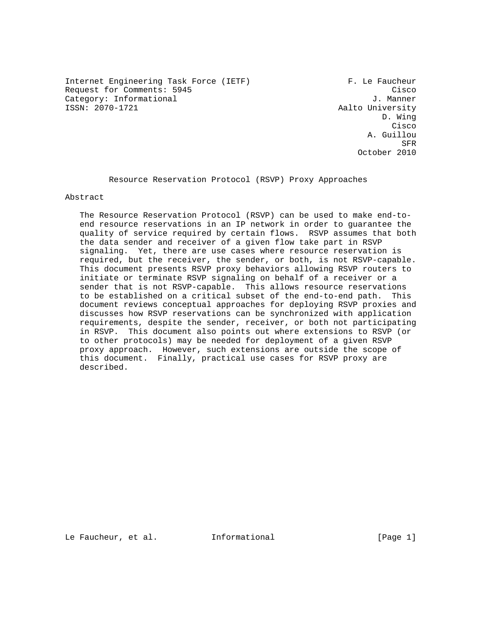Internet Engineering Task Force (IETF) F. Le Faucheur Request for Comments: 5945 Cisco Category: Informational J. Manner

Aalto University D. Wing **Cisco de la contrata de la contrata de la contrata de la contrata de la contrata de la contrata de la contrat**  A. Guillou STRAIN STRAIN STRAIN STRAIN STRAIN STRAIN STRAIN STRAIN STRAIN STRAIN STRAIN STRAIN STRAIN STRAIN STRAIN STRAIN October 2010

Resource Reservation Protocol (RSVP) Proxy Approaches

Abstract

 The Resource Reservation Protocol (RSVP) can be used to make end-to end resource reservations in an IP network in order to guarantee the quality of service required by certain flows. RSVP assumes that both the data sender and receiver of a given flow take part in RSVP signaling. Yet, there are use cases where resource reservation is required, but the receiver, the sender, or both, is not RSVP-capable. This document presents RSVP proxy behaviors allowing RSVP routers to initiate or terminate RSVP signaling on behalf of a receiver or a sender that is not RSVP-capable. This allows resource reservations to be established on a critical subset of the end-to-end path. This document reviews conceptual approaches for deploying RSVP proxies and discusses how RSVP reservations can be synchronized with application requirements, despite the sender, receiver, or both not participating in RSVP. This document also points out where extensions to RSVP (or to other protocols) may be needed for deployment of a given RSVP proxy approach. However, such extensions are outside the scope of this document. Finally, practical use cases for RSVP proxy are described.

Le Faucheur, et al. Informational [Page 1]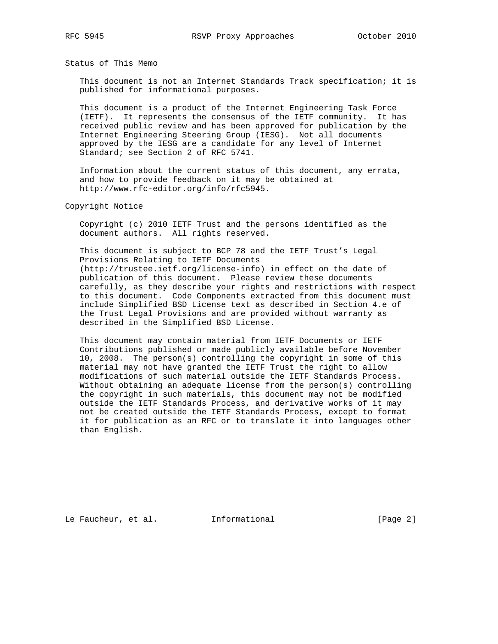Status of This Memo

 This document is not an Internet Standards Track specification; it is published for informational purposes.

 This document is a product of the Internet Engineering Task Force (IETF). It represents the consensus of the IETF community. It has received public review and has been approved for publication by the Internet Engineering Steering Group (IESG). Not all documents approved by the IESG are a candidate for any level of Internet Standard; see Section 2 of RFC 5741.

 Information about the current status of this document, any errata, and how to provide feedback on it may be obtained at http://www.rfc-editor.org/info/rfc5945.

Copyright Notice

 Copyright (c) 2010 IETF Trust and the persons identified as the document authors. All rights reserved.

 This document is subject to BCP 78 and the IETF Trust's Legal Provisions Relating to IETF Documents (http://trustee.ietf.org/license-info) in effect on the date of publication of this document. Please review these documents carefully, as they describe your rights and restrictions with respect to this document. Code Components extracted from this document must include Simplified BSD License text as described in Section 4.e of the Trust Legal Provisions and are provided without warranty as described in the Simplified BSD License.

 This document may contain material from IETF Documents or IETF Contributions published or made publicly available before November 10, 2008. The person(s) controlling the copyright in some of this material may not have granted the IETF Trust the right to allow modifications of such material outside the IETF Standards Process. Without obtaining an adequate license from the person(s) controlling the copyright in such materials, this document may not be modified outside the IETF Standards Process, and derivative works of it may not be created outside the IETF Standards Process, except to format it for publication as an RFC or to translate it into languages other than English.

Le Faucheur, et al. 1nformational [Page 2]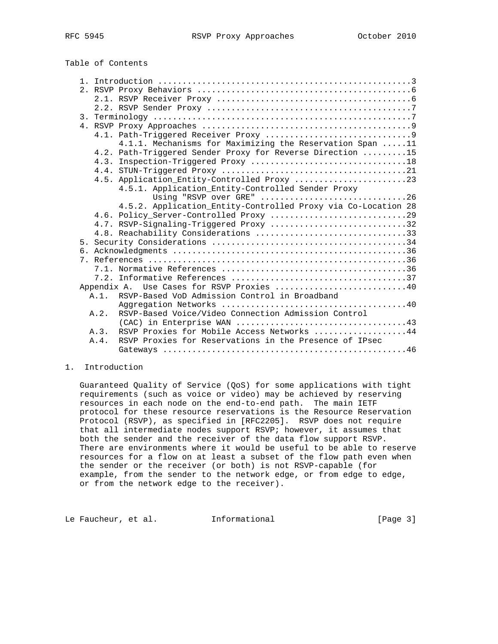| Table of Contents |  |  |  |
|-------------------|--|--|--|
|-------------------|--|--|--|

|                |         | 4.1.1. Mechanisms for Maximizing the Reservation Span 11      |
|----------------|---------|---------------------------------------------------------------|
|                |         | 4.2. Path-Triggered Sender Proxy for Reverse Direction 15     |
|                |         |                                                               |
|                |         |                                                               |
|                |         | 4.5. Application_Entity-Controlled Proxy 23                   |
|                |         | 4.5.1. Application_Entity-Controlled Sender Proxy             |
|                |         | Using "RSVP over GRE" 26                                      |
|                |         | 4.5.2. Application_Entity-Controlled Proxy via Co-Location 28 |
|                |         |                                                               |
|                |         | 4.7. RSVP-Signaling-Triggered Proxy 32                        |
|                |         | 4.8. Reachability Considerations 33                           |
|                |         |                                                               |
|                |         |                                                               |
| 7 <sub>1</sub> |         |                                                               |
|                |         |                                                               |
|                |         |                                                               |
|                |         | Appendix A. Use Cases for RSVP Proxies 40                     |
|                | $A.1$ . | RSVP-Based VoD Admission Control in Broadband                 |
|                |         |                                                               |
|                | A.2.    | RSVP-Based Voice/Video Connection Admission Control           |
|                |         |                                                               |
|                | A.3.    | RSVP Proxies for Mobile Access Networks 44                    |
|                | A.4.    | RSVP Proxies for Reservations in the Presence of IPsec        |
|                |         |                                                               |

# 1. Introduction

 Guaranteed Quality of Service (QoS) for some applications with tight requirements (such as voice or video) may be achieved by reserving resources in each node on the end-to-end path. The main IETF protocol for these resource reservations is the Resource Reservation Protocol (RSVP), as specified in [RFC2205]. RSVP does not require that all intermediate nodes support RSVP; however, it assumes that both the sender and the receiver of the data flow support RSVP. There are environments where it would be useful to be able to reserve resources for a flow on at least a subset of the flow path even when the sender or the receiver (or both) is not RSVP-capable (for example, from the sender to the network edge, or from edge to edge, or from the network edge to the receiver).

Le Faucheur, et al. 1nformational [Page 3]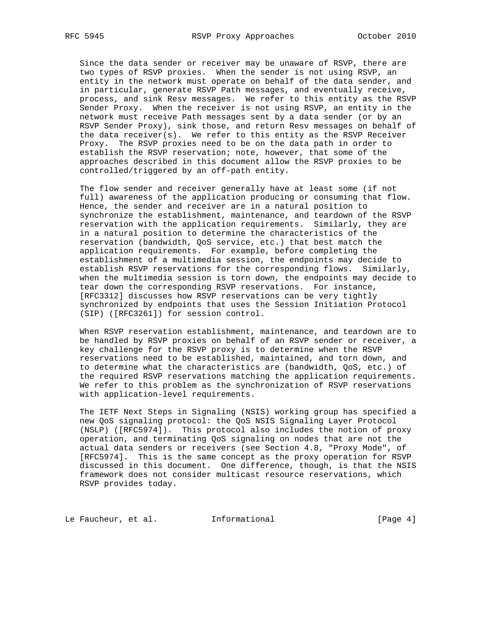Since the data sender or receiver may be unaware of RSVP, there are two types of RSVP proxies. When the sender is not using RSVP, an entity in the network must operate on behalf of the data sender, and in particular, generate RSVP Path messages, and eventually receive, process, and sink Resv messages. We refer to this entity as the RSVP Sender Proxy. When the receiver is not using RSVP, an entity in the network must receive Path messages sent by a data sender (or by an RSVP Sender Proxy), sink those, and return Resv messages on behalf of the data receiver(s). We refer to this entity as the RSVP Receiver Proxy. The RSVP proxies need to be on the data path in order to establish the RSVP reservation; note, however, that some of the approaches described in this document allow the RSVP proxies to be controlled/triggered by an off-path entity.

 The flow sender and receiver generally have at least some (if not full) awareness of the application producing or consuming that flow. Hence, the sender and receiver are in a natural position to synchronize the establishment, maintenance, and teardown of the RSVP reservation with the application requirements. Similarly, they are in a natural position to determine the characteristics of the reservation (bandwidth, QoS service, etc.) that best match the application requirements. For example, before completing the establishment of a multimedia session, the endpoints may decide to establish RSVP reservations for the corresponding flows. Similarly, when the multimedia session is torn down, the endpoints may decide to tear down the corresponding RSVP reservations. For instance, [RFC3312] discusses how RSVP reservations can be very tightly synchronized by endpoints that uses the Session Initiation Protocol (SIP) ([RFC3261]) for session control.

 When RSVP reservation establishment, maintenance, and teardown are to be handled by RSVP proxies on behalf of an RSVP sender or receiver, a key challenge for the RSVP proxy is to determine when the RSVP reservations need to be established, maintained, and torn down, and to determine what the characteristics are (bandwidth, QoS, etc.) of the required RSVP reservations matching the application requirements. We refer to this problem as the synchronization of RSVP reservations with application-level requirements.

 The IETF Next Steps in Signaling (NSIS) working group has specified a new QoS signaling protocol: the QoS NSIS Signaling Layer Protocol (NSLP) ([RFC5974]). This protocol also includes the notion of proxy operation, and terminating QoS signaling on nodes that are not the actual data senders or receivers (see Section 4.8, "Proxy Mode", of [RFC5974]. This is the same concept as the proxy operation for RSVP discussed in this document. One difference, though, is that the NSIS framework does not consider multicast resource reservations, which RSVP provides today.

Le Faucheur, et al. 1nformational 1999 [Page 4]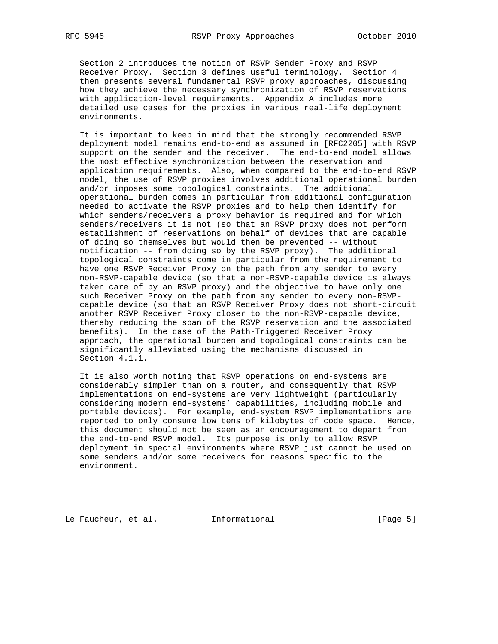Section 2 introduces the notion of RSVP Sender Proxy and RSVP Receiver Proxy. Section 3 defines useful terminology. Section 4 then presents several fundamental RSVP proxy approaches, discussing how they achieve the necessary synchronization of RSVP reservations with application-level requirements. Appendix A includes more detailed use cases for the proxies in various real-life deployment environments.

 It is important to keep in mind that the strongly recommended RSVP deployment model remains end-to-end as assumed in [RFC2205] with RSVP support on the sender and the receiver. The end-to-end model allows the most effective synchronization between the reservation and application requirements. Also, when compared to the end-to-end RSVP model, the use of RSVP proxies involves additional operational burden and/or imposes some topological constraints. The additional operational burden comes in particular from additional configuration needed to activate the RSVP proxies and to help them identify for which senders/receivers a proxy behavior is required and for which senders/receivers it is not (so that an RSVP proxy does not perform establishment of reservations on behalf of devices that are capable of doing so themselves but would then be prevented -- without notification -- from doing so by the RSVP proxy). The additional topological constraints come in particular from the requirement to have one RSVP Receiver Proxy on the path from any sender to every non-RSVP-capable device (so that a non-RSVP-capable device is always taken care of by an RSVP proxy) and the objective to have only one such Receiver Proxy on the path from any sender to every non-RSVP capable device (so that an RSVP Receiver Proxy does not short-circuit another RSVP Receiver Proxy closer to the non-RSVP-capable device, thereby reducing the span of the RSVP reservation and the associated benefits). In the case of the Path-Triggered Receiver Proxy approach, the operational burden and topological constraints can be significantly alleviated using the mechanisms discussed in Section 4.1.1.

 It is also worth noting that RSVP operations on end-systems are considerably simpler than on a router, and consequently that RSVP implementations on end-systems are very lightweight (particularly considering modern end-systems' capabilities, including mobile and portable devices). For example, end-system RSVP implementations are reported to only consume low tens of kilobytes of code space. Hence, this document should not be seen as an encouragement to depart from the end-to-end RSVP model. Its purpose is only to allow RSVP deployment in special environments where RSVP just cannot be used on some senders and/or some receivers for reasons specific to the environment.

Le Faucheur, et al. Informational [Page 5]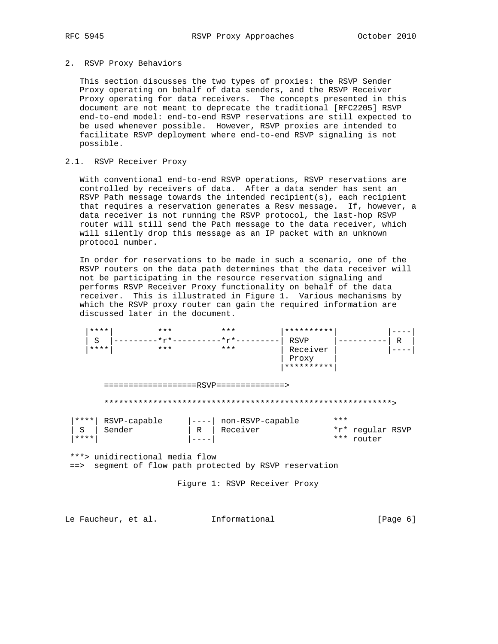### 2. RSVP Proxy Behaviors

 This section discusses the two types of proxies: the RSVP Sender Proxy operating on behalf of data senders, and the RSVP Receiver Proxy operating for data receivers. The concepts presented in this document are not meant to deprecate the traditional [RFC2205] RSVP end-to-end model: end-to-end RSVP reservations are still expected to be used whenever possible. However, RSVP proxies are intended to facilitate RSVP deployment where end-to-end RSVP signaling is not possible.

# 2.1. RSVP Receiver Proxy

 With conventional end-to-end RSVP operations, RSVP reservations are controlled by receivers of data. After a data sender has sent an RSVP Path message towards the intended recipient(s), each recipient that requires a reservation generates a Resv message. If, however, a data receiver is not running the RSVP protocol, the last-hop RSVP router will still send the Path message to the data receiver, which will silently drop this message as an IP packet with an unknown protocol number.

 In order for reservations to be made in such a scenario, one of the RSVP routers on the data path determines that the data receiver will not be participating in the resource reservation signaling and performs RSVP Receiver Proxy functionality on behalf of the data receiver. This is illustrated in Figure 1. Various mechanisms by which the RSVP proxy router can gain the required information are discussed later in the document.

|                                        | **** | $* * *$      |   | $* * *$          | ********** |                                   |   |  |
|----------------------------------------|------|--------------|---|------------------|------------|-----------------------------------|---|--|
|                                        | S    | $*r*$        |   | $*_{r*}$         | RSVP       |                                   | R |  |
|                                        | **** | $***$        |   | ***              | Receiver   |                                   |   |  |
|                                        |      |              |   |                  | Proxy      |                                   |   |  |
|                                        |      |              |   |                  | ********** |                                   |   |  |
| ===================RSVP=============== |      |              |   |                  |            |                                   |   |  |
| ****                                   |      | RSVP-capable |   | non-RSVP-capable |            | ***                               |   |  |
| S<br>****                              |      | Sender       | R | Receiver         |            | *r* regular RSVP<br>***<br>router |   |  |

 \*\*\*> unidirectional media flow ==> segment of flow path protected by RSVP reservation

Figure 1: RSVP Receiver Proxy

Le Faucheur, et al. 1nformational [Page 6]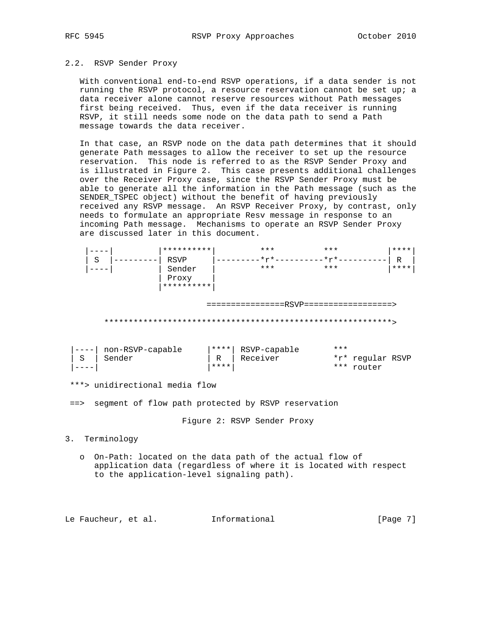# 2.2. RSVP Sender Proxy

 With conventional end-to-end RSVP operations, if a data sender is not running the RSVP protocol, a resource reservation cannot be set up; a data receiver alone cannot reserve resources without Path messages first being received. Thus, even if the data receiver is running RSVP, it still needs some node on the data path to send a Path message towards the data receiver.

 In that case, an RSVP node on the data path determines that it should generate Path messages to allow the receiver to set up the resource reservation. This node is referred to as the RSVP Sender Proxy and is illustrated in Figure 2. This case presents additional challenges over the Receiver Proxy case, since the RSVP Sender Proxy must be able to generate all the information in the Path message (such as the SENDER\_TSPEC object) without the benefit of having previously received any RSVP message. An RSVP Receiver Proxy, by contrast, only needs to formulate an appropriate Resv message in response to an incoming Path message. Mechanisms to operate an RSVP Sender Proxy are discussed later in this document.

|   |   |                  | ********** |              | $***$                                   | ***   |     |                  | **** |
|---|---|------------------|------------|--------------|-----------------------------------------|-------|-----|------------------|------|
|   | S |                  | RSVP       |              | $.* \uparrow * -$                       | $*r*$ |     |                  | R    |
|   |   |                  | Sender     |              | $***$                                   | $***$ |     |                  | **** |
|   |   |                  | Proxy      |              |                                         |       |     |                  |      |
|   |   |                  | ********** |              |                                         |       |     |                  |      |
|   |   |                  |            |              |                                         |       |     |                  |      |
|   |   |                  |            |              | ================RSVP=================== |       |     |                  |      |
|   |   |                  |            |              |                                         |       |     |                  |      |
|   |   |                  |            |              |                                         |       |     |                  |      |
|   |   |                  |            |              |                                         |       |     |                  |      |
|   |   |                  |            |              |                                         |       |     |                  |      |
|   |   | non-RSVP-capable |            | ****         | RSVP-capable                            |       | *** |                  |      |
| S |   | Sender           |            | $\mathbb{R}$ | Receiver                                |       |     | *r* regular RSVP |      |
|   |   |                  |            | ****         |                                         |       | *** | router           |      |
|   |   |                  |            |              |                                         |       |     |                  |      |

\*\*\*> unidirectional media flow

==> segment of flow path protected by RSVP reservation

Figure 2: RSVP Sender Proxy

3. Terminology

 o On-Path: located on the data path of the actual flow of application data (regardless of where it is located with respect to the application-level signaling path).

Le Faucheur, et al. Informational [Page 7]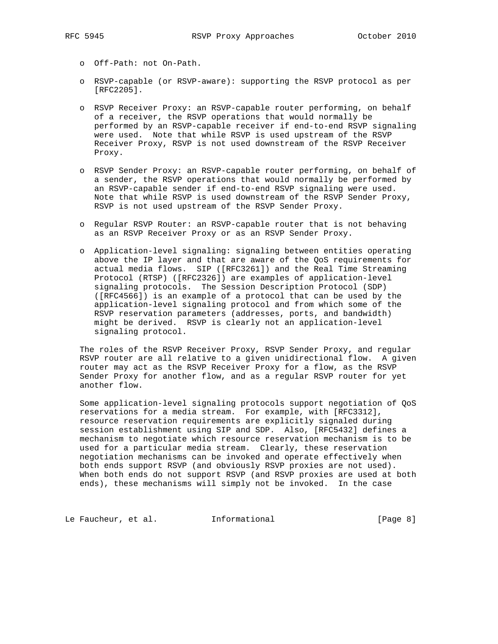o Off-Path: not On-Path.

- o RSVP-capable (or RSVP-aware): supporting the RSVP protocol as per [RFC2205].
- o RSVP Receiver Proxy: an RSVP-capable router performing, on behalf of a receiver, the RSVP operations that would normally be performed by an RSVP-capable receiver if end-to-end RSVP signaling were used. Note that while RSVP is used upstream of the RSVP Receiver Proxy, RSVP is not used downstream of the RSVP Receiver Proxy.
- o RSVP Sender Proxy: an RSVP-capable router performing, on behalf of a sender, the RSVP operations that would normally be performed by an RSVP-capable sender if end-to-end RSVP signaling were used. Note that while RSVP is used downstream of the RSVP Sender Proxy, RSVP is not used upstream of the RSVP Sender Proxy.
- o Regular RSVP Router: an RSVP-capable router that is not behaving as an RSVP Receiver Proxy or as an RSVP Sender Proxy.
- o Application-level signaling: signaling between entities operating above the IP layer and that are aware of the QoS requirements for actual media flows. SIP ([RFC3261]) and the Real Time Streaming Protocol (RTSP) ([RFC2326]) are examples of application-level signaling protocols. The Session Description Protocol (SDP) ([RFC4566]) is an example of a protocol that can be used by the application-level signaling protocol and from which some of the RSVP reservation parameters (addresses, ports, and bandwidth) might be derived. RSVP is clearly not an application-level signaling protocol.

 The roles of the RSVP Receiver Proxy, RSVP Sender Proxy, and regular RSVP router are all relative to a given unidirectional flow. A given router may act as the RSVP Receiver Proxy for a flow, as the RSVP Sender Proxy for another flow, and as a regular RSVP router for yet another flow.

 Some application-level signaling protocols support negotiation of QoS reservations for a media stream. For example, with [RFC3312], resource reservation requirements are explicitly signaled during session establishment using SIP and SDP. Also, [RFC5432] defines a mechanism to negotiate which resource reservation mechanism is to be used for a particular media stream. Clearly, these reservation negotiation mechanisms can be invoked and operate effectively when both ends support RSVP (and obviously RSVP proxies are not used). When both ends do not support RSVP (and RSVP proxies are used at both ends), these mechanisms will simply not be invoked. In the case

Le Faucheur, et al. 1nformational [Page 8]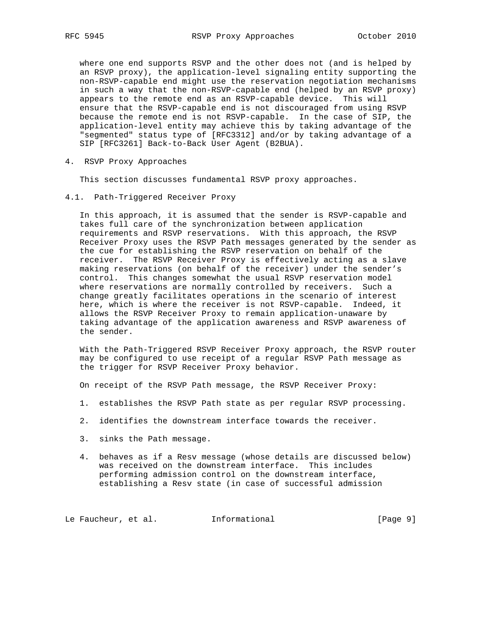where one end supports RSVP and the other does not (and is helped by an RSVP proxy), the application-level signaling entity supporting the non-RSVP-capable end might use the reservation negotiation mechanisms in such a way that the non-RSVP-capable end (helped by an RSVP proxy) appears to the remote end as an RSVP-capable device. This will ensure that the RSVP-capable end is not discouraged from using RSVP because the remote end is not RSVP-capable. In the case of SIP, the application-level entity may achieve this by taking advantage of the "segmented" status type of [RFC3312] and/or by taking advantage of a SIP [RFC3261] Back-to-Back User Agent (B2BUA).

4. RSVP Proxy Approaches

This section discusses fundamental RSVP proxy approaches.

4.1. Path-Triggered Receiver Proxy

 In this approach, it is assumed that the sender is RSVP-capable and takes full care of the synchronization between application requirements and RSVP reservations. With this approach, the RSVP Receiver Proxy uses the RSVP Path messages generated by the sender as the cue for establishing the RSVP reservation on behalf of the receiver. The RSVP Receiver Proxy is effectively acting as a slave making reservations (on behalf of the receiver) under the sender's control. This changes somewhat the usual RSVP reservation model where reservations are normally controlled by receivers. Such a change greatly facilitates operations in the scenario of interest here, which is where the receiver is not RSVP-capable. Indeed, it allows the RSVP Receiver Proxy to remain application-unaware by taking advantage of the application awareness and RSVP awareness of the sender.

 With the Path-Triggered RSVP Receiver Proxy approach, the RSVP router may be configured to use receipt of a regular RSVP Path message as the trigger for RSVP Receiver Proxy behavior.

On receipt of the RSVP Path message, the RSVP Receiver Proxy:

- 1. establishes the RSVP Path state as per regular RSVP processing.
- 2. identifies the downstream interface towards the receiver.
- 3. sinks the Path message.
- 4. behaves as if a Resv message (whose details are discussed below) was received on the downstream interface. This includes performing admission control on the downstream interface, establishing a Resv state (in case of successful admission

Le Faucheur, et al. 1nformational 1999 [Page 9]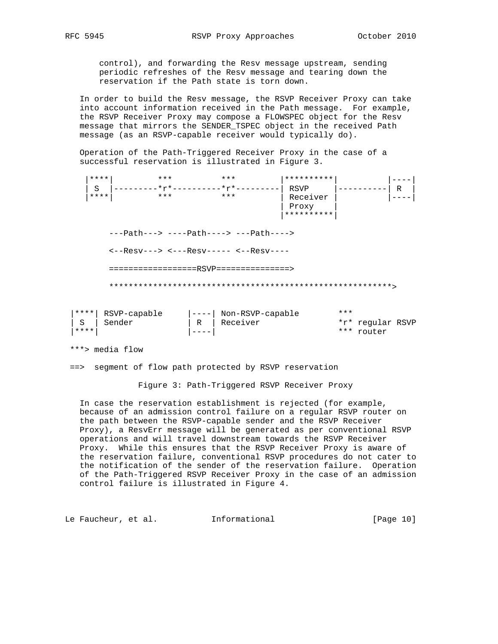control), and forwarding the Resv message upstream, sending periodic refreshes of the Resv message and tearing down the reservation if the Path state is torn down.

 In order to build the Resv message, the RSVP Receiver Proxy can take into account information received in the Path message. For example, the RSVP Receiver Proxy may compose a FLOWSPEC object for the Resv message that mirrors the SENDER\_TSPEC object in the received Path message (as an RSVP-capable receiver would typically do).

 Operation of the Path-Triggered Receiver Proxy in the case of a successful reservation is illustrated in Figure 3.

|         | **** | ***                                                                                                                                                       | $***$                          | **********    |          |
|---------|------|-----------------------------------------------------------------------------------------------------------------------------------------------------------|--------------------------------|---------------|----------|
|         | S    |                                                                                                                                                           | -------*r*---------*r*-------- | RSVP          | $R \mid$ |
|         | **** | $* * *$                                                                                                                                                   | $***$                          | Receiver      |          |
|         |      |                                                                                                                                                           |                                | Proxy         |          |
|         |      |                                                                                                                                                           |                                | **********    |          |
|         |      | $---Path---&---Path---&---Path---&$<br>$\leftarrow -$ Resv---> $\leftarrow -$ Resv----- $\leftarrow -$ Resv----<br>==================RSVP================ |                                |               |          |
|         |      |                                                                                                                                                           |                                |               |          |
| الدلديك |      | P(1,1)                                                                                                                                                    |                                | $\frac{1}{2}$ |          |

| **** |                              |                        |     | *** router       |  |
|------|------------------------------|------------------------|-----|------------------|--|
|      | 'S   Sender                  | R   Receiver           |     | *r* regular RSVP |  |
|      | <sup>****</sup> RSVP-capable | ----  Non-RSVP-capable | *** |                  |  |

\*\*\*> media flow

==> segment of flow path protected by RSVP reservation

Figure 3: Path-Triggered RSVP Receiver Proxy

 In case the reservation establishment is rejected (for example, because of an admission control failure on a regular RSVP router on the path between the RSVP-capable sender and the RSVP Receiver Proxy), a ResvErr message will be generated as per conventional RSVP operations and will travel downstream towards the RSVP Receiver Proxy. While this ensures that the RSVP Receiver Proxy is aware of the reservation failure, conventional RSVP procedures do not cater to the notification of the sender of the reservation failure. Operation of the Path-Triggered RSVP Receiver Proxy in the case of an admission control failure is illustrated in Figure 4.

Le Faucheur, et al. 1nformational [Page 10]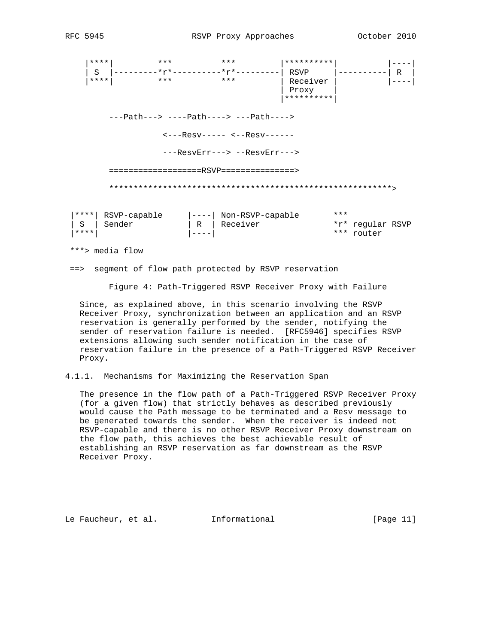|\*\*\*\*| \*\*\* \*\*\* |\*\*\*\*\*\*\*\*\*\*| |----| | S |---------\*r\*----------\*r\*---------| RSVP |----------| R | |\*\*\*\*| \*\*\* \*\*\* | Receiver | |----| | Proxy | |\*\*\*\*\*\*\*\*\*\*| ---Path---> ----Path----> ---Path----> <---Resv----- <--Resv------ ---ResvErr---> --ResvErr---> ===================RSVP===============> \*\*\*\*\*\*\*\*\*\*\*\*\*\*\*\*\*\*\*\*\*\*\*\*\*\*\*\*\*\*\*\*\*\*\*\*\*\*\*\*\*\*\*\*\*\*\*\*\*\*\*\*\*\*\*\*\*\*> |\*\*\*\*| RSVP-capable |----| Non-RSVP-capable \*\*\* | S | Sender | R | Receiver \*r\* regular RSVP |\*\*\*\*| |----| \*\*\* router \*\*\*> media flow

==> segment of flow path protected by RSVP reservation

Figure 4: Path-Triggered RSVP Receiver Proxy with Failure

 Since, as explained above, in this scenario involving the RSVP Receiver Proxy, synchronization between an application and an RSVP reservation is generally performed by the sender, notifying the sender of reservation failure is needed. [RFC5946] specifies RSVP extensions allowing such sender notification in the case of reservation failure in the presence of a Path-Triggered RSVP Receiver Proxy.

4.1.1. Mechanisms for Maximizing the Reservation Span

 The presence in the flow path of a Path-Triggered RSVP Receiver Proxy (for a given flow) that strictly behaves as described previously would cause the Path message to be terminated and a Resv message to be generated towards the sender. When the receiver is indeed not RSVP-capable and there is no other RSVP Receiver Proxy downstream on the flow path, this achieves the best achievable result of establishing an RSVP reservation as far downstream as the RSVP Receiver Proxy.

Le Faucheur, et al. Informational [Page 11]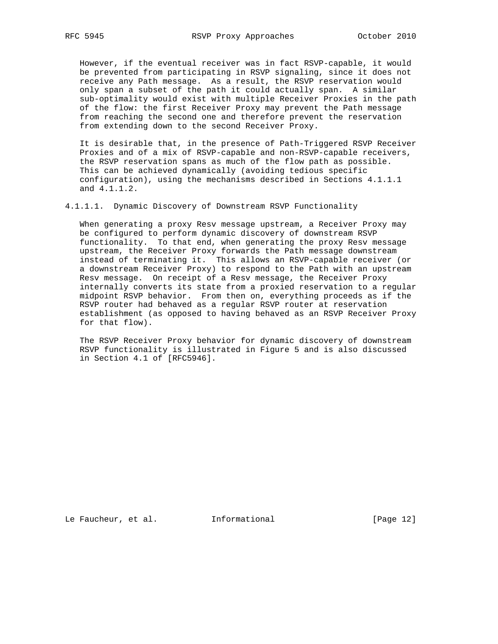However, if the eventual receiver was in fact RSVP-capable, it would be prevented from participating in RSVP signaling, since it does not receive any Path message. As a result, the RSVP reservation would only span a subset of the path it could actually span. A similar sub-optimality would exist with multiple Receiver Proxies in the path of the flow: the first Receiver Proxy may prevent the Path message from reaching the second one and therefore prevent the reservation from extending down to the second Receiver Proxy.

 It is desirable that, in the presence of Path-Triggered RSVP Receiver Proxies and of a mix of RSVP-capable and non-RSVP-capable receivers, the RSVP reservation spans as much of the flow path as possible. This can be achieved dynamically (avoiding tedious specific configuration), using the mechanisms described in Sections 4.1.1.1 and 4.1.1.2.

4.1.1.1. Dynamic Discovery of Downstream RSVP Functionality

 When generating a proxy Resv message upstream, a Receiver Proxy may be configured to perform dynamic discovery of downstream RSVP functionality. To that end, when generating the proxy Resv message upstream, the Receiver Proxy forwards the Path message downstream instead of terminating it. This allows an RSVP-capable receiver (or a downstream Receiver Proxy) to respond to the Path with an upstream Resv message. On receipt of a Resv message, the Receiver Proxy internally converts its state from a proxied reservation to a regular midpoint RSVP behavior. From then on, everything proceeds as if the RSVP router had behaved as a regular RSVP router at reservation establishment (as opposed to having behaved as an RSVP Receiver Proxy for that flow).

 The RSVP Receiver Proxy behavior for dynamic discovery of downstream RSVP functionality is illustrated in Figure 5 and is also discussed in Section 4.1 of [RFC5946].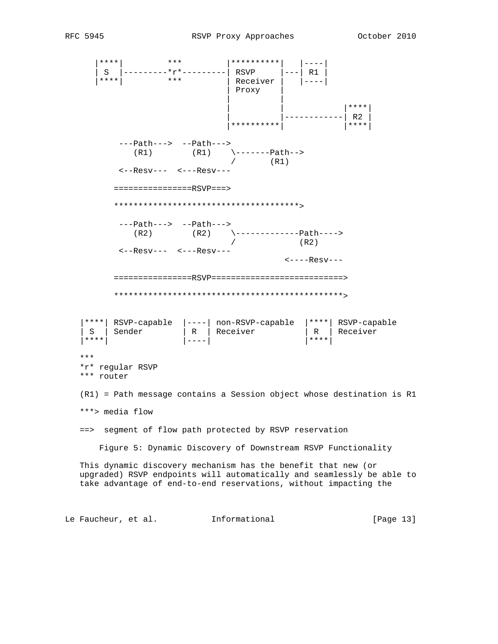|\*\*\*\*| \*\*\* |\*\*\*\*\*\*\*\*\*\*| |----| | S |---------\*r\*---------| RSVP |---| R1 | |\*\*\*\*| \*\*\* | Receiver | |----| | Proxy | | | | | |\*\*\*\*| | |------------| R2 | |\*\*\*\*\*\*\*\*\*\*| |\*\*\*\*| ---Path---> --Path--->  $(R1)$   $(R1)$   $\{----Path--\}$  $/$  (R1) <--Resv--- <---Resv--- ================RSVP===> \*\*\*\*\*\*\*\*\*\*\*\*\*\*\*\*\*\*\*\*\*\*\*\*\*\*\*\*\*\*\*\*\*\*\*\*\*\*> ---Path---> --Path---> (R2) (R2) \-------------Path---->  $/$  (R2) <--Resv--- <---Resv--- <----Resv--- ================RSVP===========================> \*\*\*\*\*\*\*\*\*\*\*\*\*\*\*\*\*\*\*\*\*\*\*\*\*\*\*\*\*\*\*\*\*\*\*\*\*\*\*\*\*\*\*\*\*\*\*> |\*\*\*\*| RSVP-capable |----| non-RSVP-capable |\*\*\*\*| RSVP-capable | S | Sender | R | Receiver | R | Receiver |\*\*\*\*| |----| |\*\*\*\*| \*\*\* \*r\* regular RSVP \*\*\* router (R1) = Path message contains a Session object whose destination is R1 \*\*\*> media flow ==> segment of flow path protected by RSVP reservation Figure 5: Dynamic Discovery of Downstream RSVP Functionality This dynamic discovery mechanism has the benefit that new (or upgraded) RSVP endpoints will automatically and seamlessly be able to take advantage of end-to-end reservations, without impacting the

Le Faucheur, et al. 1nformational [Page 13]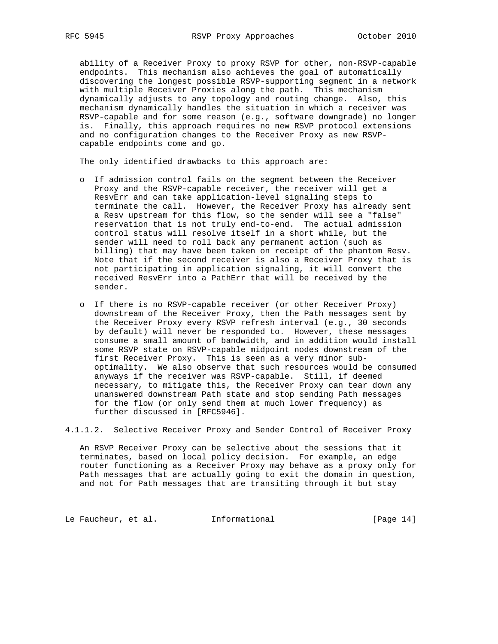ability of a Receiver Proxy to proxy RSVP for other, non-RSVP-capable endpoints. This mechanism also achieves the goal of automatically discovering the longest possible RSVP-supporting segment in a network with multiple Receiver Proxies along the path. This mechanism dynamically adjusts to any topology and routing change. Also, this mechanism dynamically handles the situation in which a receiver was RSVP-capable and for some reason (e.g., software downgrade) no longer is. Finally, this approach requires no new RSVP protocol extensions and no configuration changes to the Receiver Proxy as new RSVP capable endpoints come and go.

The only identified drawbacks to this approach are:

- o If admission control fails on the segment between the Receiver Proxy and the RSVP-capable receiver, the receiver will get a ResvErr and can take application-level signaling steps to terminate the call. However, the Receiver Proxy has already sent a Resv upstream for this flow, so the sender will see a "false" reservation that is not truly end-to-end. The actual admission control status will resolve itself in a short while, but the sender will need to roll back any permanent action (such as billing) that may have been taken on receipt of the phantom Resv. Note that if the second receiver is also a Receiver Proxy that is not participating in application signaling, it will convert the received ResvErr into a PathErr that will be received by the sender.
- o If there is no RSVP-capable receiver (or other Receiver Proxy) downstream of the Receiver Proxy, then the Path messages sent by the Receiver Proxy every RSVP refresh interval (e.g., 30 seconds by default) will never be responded to. However, these messages consume a small amount of bandwidth, and in addition would install some RSVP state on RSVP-capable midpoint nodes downstream of the first Receiver Proxy. This is seen as a very minor sub optimality. We also observe that such resources would be consumed anyways if the receiver was RSVP-capable. Still, if deemed necessary, to mitigate this, the Receiver Proxy can tear down any unanswered downstream Path state and stop sending Path messages for the flow (or only send them at much lower frequency) as further discussed in [RFC5946].

4.1.1.2. Selective Receiver Proxy and Sender Control of Receiver Proxy

 An RSVP Receiver Proxy can be selective about the sessions that it terminates, based on local policy decision. For example, an edge router functioning as a Receiver Proxy may behave as a proxy only for Path messages that are actually going to exit the domain in question, and not for Path messages that are transiting through it but stay

Le Faucheur, et al. 1nformational [Page 14]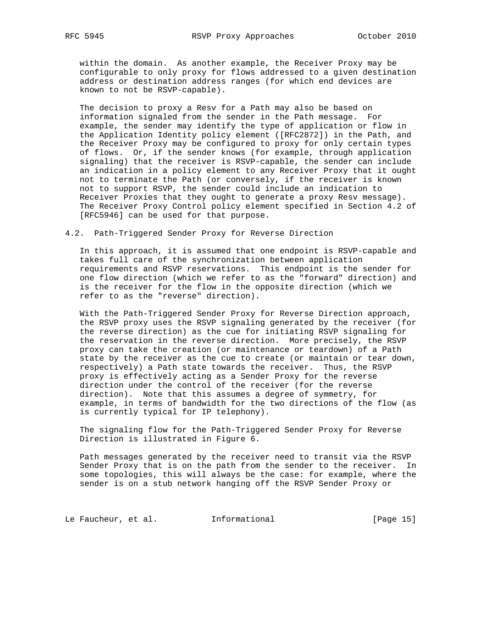within the domain. As another example, the Receiver Proxy may be configurable to only proxy for flows addressed to a given destination address or destination address ranges (for which end devices are known to not be RSVP-capable).

 The decision to proxy a Resv for a Path may also be based on information signaled from the sender in the Path message. For example, the sender may identify the type of application or flow in the Application Identity policy element ([RFC2872]) in the Path, and the Receiver Proxy may be configured to proxy for only certain types of flows. Or, if the sender knows (for example, through application signaling) that the receiver is RSVP-capable, the sender can include an indication in a policy element to any Receiver Proxy that it ought not to terminate the Path (or conversely, if the receiver is known not to support RSVP, the sender could include an indication to Receiver Proxies that they ought to generate a proxy Resv message). The Receiver Proxy Control policy element specified in Section 4.2 of [RFC5946] can be used for that purpose.

4.2. Path-Triggered Sender Proxy for Reverse Direction

 In this approach, it is assumed that one endpoint is RSVP-capable and takes full care of the synchronization between application requirements and RSVP reservations. This endpoint is the sender for one flow direction (which we refer to as the "forward" direction) and is the receiver for the flow in the opposite direction (which we refer to as the "reverse" direction).

 With the Path-Triggered Sender Proxy for Reverse Direction approach, the RSVP proxy uses the RSVP signaling generated by the receiver (for the reverse direction) as the cue for initiating RSVP signaling for the reservation in the reverse direction. More precisely, the RSVP proxy can take the creation (or maintenance or teardown) of a Path state by the receiver as the cue to create (or maintain or tear down, respectively) a Path state towards the receiver. Thus, the RSVP proxy is effectively acting as a Sender Proxy for the reverse direction under the control of the receiver (for the reverse direction). Note that this assumes a degree of symmetry, for example, in terms of bandwidth for the two directions of the flow (as is currently typical for IP telephony).

 The signaling flow for the Path-Triggered Sender Proxy for Reverse Direction is illustrated in Figure 6.

 Path messages generated by the receiver need to transit via the RSVP Sender Proxy that is on the path from the sender to the receiver. In some topologies, this will always be the case: for example, where the sender is on a stub network hanging off the RSVP Sender Proxy or

Le Faucheur, et al. 1nformational [Page 15]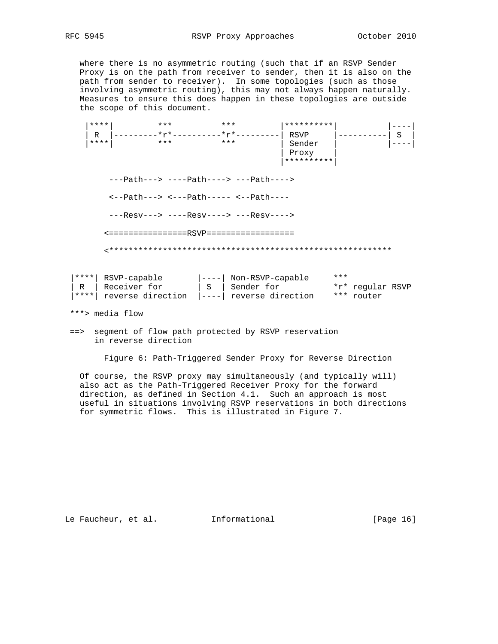where there is no asymmetric routing (such that if an RSVP Sender Proxy is on the path from receiver to sender, then it is also on the path from sender to receiver). In some topologies (such as those involving asymmetric routing), this may not always happen naturally. Measures to ensure this does happen in these topologies are outside the scope of this document.

 |\*\*\*\*| \*\*\* \*\*\* |\*\*\*\*\*\*\*\*\*\*| |----| | R |---------\*r\*----------\*r\*---------| RSVP |----------| S | |\*\*\*\*| \*\*\* \*\*\* | Sender | |----| | Proxy | |\*\*\*\*\*\*\*\*\*\*| ---Path---> ----Path----> ---Path----> <--Path---> <---Path----- <--Path---- ---Resv---> ----Resv----> ---Resv----> <================RSVP================== <\*\*\*\*\*\*\*\*\*\*\*\*\*\*\*\*\*\*\*\*\*\*\*\*\*\*\*\*\*\*\*\*\*\*\*\*\*\*\*\*\*\*\*\*\*\*\*\*\*\*\*\*\*\*\*\*\*\* |\*\*\*\*| RSVP-capable |----| Non-RSVP-capable \*\*\*

|  | l****  RSVP-capable                              | ----  Non-kSVP-capable | $\overline{\phantom{a}}$ $\overline{\phantom{a}}$ |                  |  |
|--|--------------------------------------------------|------------------------|---------------------------------------------------|------------------|--|
|  | R   Receiver for                                 | S   Sender for         |                                                   | *r* regular RSVP |  |
|  | ****  reverse direction  ----  reverse direction |                        |                                                   | *** router       |  |

\*\*\*> media flow

 ==> segment of flow path protected by RSVP reservation in reverse direction

Figure 6: Path-Triggered Sender Proxy for Reverse Direction

 Of course, the RSVP proxy may simultaneously (and typically will) also act as the Path-Triggered Receiver Proxy for the forward direction, as defined in Section 4.1. Such an approach is most useful in situations involving RSVP reservations in both directions for symmetric flows. This is illustrated in Figure 7.

Le Faucheur, et al. 1nformational [Page 16]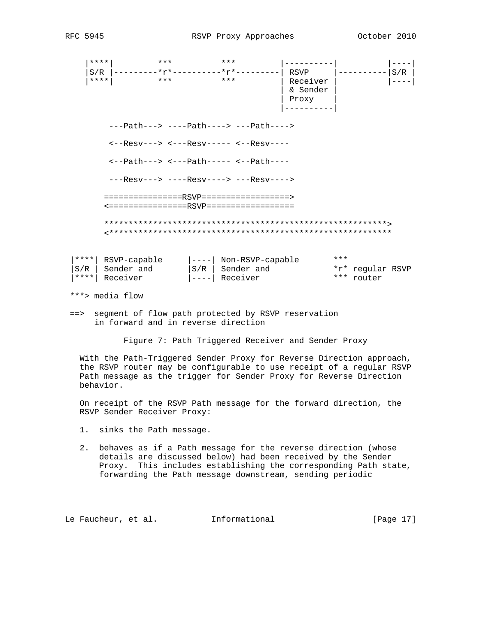| ****                                                         | $***$               | $***$                                                                    |          |                  |     |  |  |  |  |
|--------------------------------------------------------------|---------------------|--------------------------------------------------------------------------|----------|------------------|-----|--|--|--|--|
| S/R                                                          |                     | -------*r*----------*r*------                                            | RSVP     |                  | S/R |  |  |  |  |
| ****                                                         | * * *               | $***$                                                                    | Receiver |                  |     |  |  |  |  |
|                                                              |                     |                                                                          | & Sender |                  |     |  |  |  |  |
|                                                              |                     |                                                                          | Proxy    |                  |     |  |  |  |  |
|                                                              |                     |                                                                          |          |                  |     |  |  |  |  |
|                                                              |                     |                                                                          |          |                  |     |  |  |  |  |
|                                                              |                     | ---Path---> ----Path----> ---Path---->                                   |          |                  |     |  |  |  |  |
|                                                              |                     | $\leftarrow -$ Resv---> $\leftarrow -$ Resv----- $\leftarrow -$ Resv---- |          |                  |     |  |  |  |  |
|                                                              |                     |                                                                          |          |                  |     |  |  |  |  |
| $\left\{---Path--->$ $\leftarrow--Path---<--Path---\right\}$ |                     |                                                                          |          |                  |     |  |  |  |  |
|                                                              |                     |                                                                          |          |                  |     |  |  |  |  |
|                                                              |                     | $---ResV---&---ResV---&---ResV---ResV---&$                               |          |                  |     |  |  |  |  |
|                                                              |                     |                                                                          |          |                  |     |  |  |  |  |
|                                                              |                     | ================RSVP===================                                  |          |                  |     |  |  |  |  |
|                                                              |                     | <================RSVP==================                                  |          |                  |     |  |  |  |  |
|                                                              |                     |                                                                          |          |                  |     |  |  |  |  |
|                                                              |                     |                                                                          |          |                  |     |  |  |  |  |
|                                                              |                     |                                                                          |          |                  |     |  |  |  |  |
|                                                              |                     |                                                                          |          |                  |     |  |  |  |  |
|                                                              | ****   RSVP-capable | ----  Non-RSVP-capable                                                   |          | ***              |     |  |  |  |  |
| S/R                                                          | Sender and          | $ S/R $ Sender and                                                       |          | *r* regular RSVP |     |  |  |  |  |
| ****                                                         | Receiver            | Receiver                                                                 |          | *** router       |     |  |  |  |  |
|                                                              |                     |                                                                          |          |                  |     |  |  |  |  |
|                                                              | ***> media flow     |                                                                          |          |                  |     |  |  |  |  |

 ==> segment of flow path protected by RSVP reservation in forward and in reverse direction

Figure 7: Path Triggered Receiver and Sender Proxy

 With the Path-Triggered Sender Proxy for Reverse Direction approach, the RSVP router may be configurable to use receipt of a regular RSVP Path message as the trigger for Sender Proxy for Reverse Direction behavior.

 On receipt of the RSVP Path message for the forward direction, the RSVP Sender Receiver Proxy:

- 1. sinks the Path message.
- 2. behaves as if a Path message for the reverse direction (whose details are discussed below) had been received by the Sender Proxy. This includes establishing the corresponding Path state, forwarding the Path message downstream, sending periodic

Le Faucheur, et al. 1nformational [Page 17]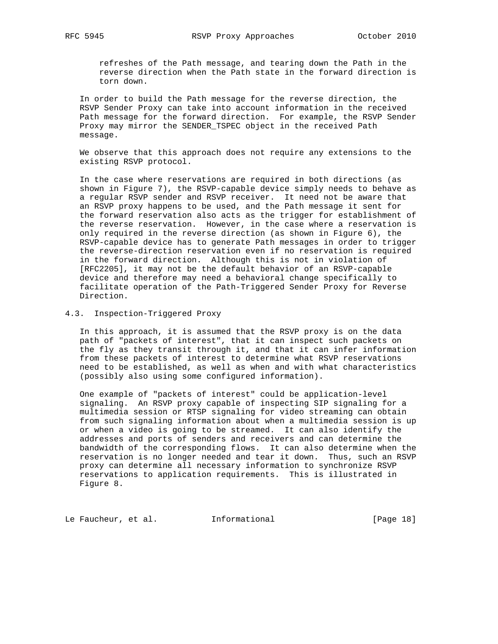refreshes of the Path message, and tearing down the Path in the reverse direction when the Path state in the forward direction is torn down.

 In order to build the Path message for the reverse direction, the RSVP Sender Proxy can take into account information in the received Path message for the forward direction. For example, the RSVP Sender Proxy may mirror the SENDER\_TSPEC object in the received Path message.

 We observe that this approach does not require any extensions to the existing RSVP protocol.

 In the case where reservations are required in both directions (as shown in Figure 7), the RSVP-capable device simply needs to behave as a regular RSVP sender and RSVP receiver. It need not be aware that an RSVP proxy happens to be used, and the Path message it sent for the forward reservation also acts as the trigger for establishment of the reverse reservation. However, in the case where a reservation is only required in the reverse direction (as shown in Figure 6), the RSVP-capable device has to generate Path messages in order to trigger the reverse-direction reservation even if no reservation is required in the forward direction. Although this is not in violation of [RFC2205], it may not be the default behavior of an RSVP-capable device and therefore may need a behavioral change specifically to facilitate operation of the Path-Triggered Sender Proxy for Reverse Direction.

4.3. Inspection-Triggered Proxy

 In this approach, it is assumed that the RSVP proxy is on the data path of "packets of interest", that it can inspect such packets on the fly as they transit through it, and that it can infer information from these packets of interest to determine what RSVP reservations need to be established, as well as when and with what characteristics (possibly also using some configured information).

 One example of "packets of interest" could be application-level signaling. An RSVP proxy capable of inspecting SIP signaling for a multimedia session or RTSP signaling for video streaming can obtain from such signaling information about when a multimedia session is up or when a video is going to be streamed. It can also identify the addresses and ports of senders and receivers and can determine the bandwidth of the corresponding flows. It can also determine when the reservation is no longer needed and tear it down. Thus, such an RSVP proxy can determine all necessary information to synchronize RSVP reservations to application requirements. This is illustrated in Figure 8.

Le Faucheur, et al. 1nformational [Page 18]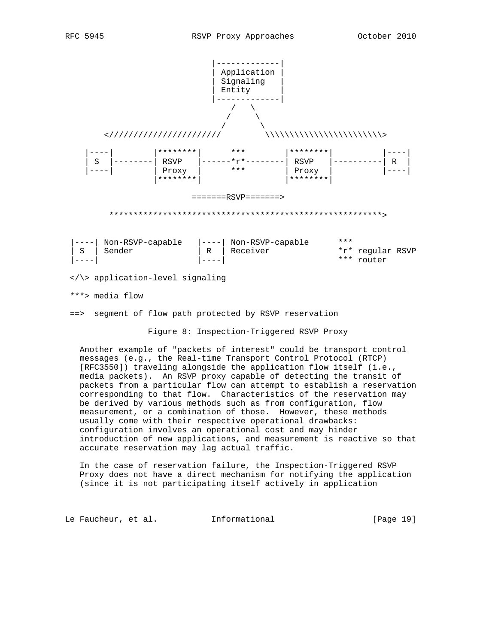

 Another example of "packets of interest" could be transport control messages (e.g., the Real-time Transport Control Protocol (RTCP) [RFC3550]) traveling alongside the application flow itself (i.e., media packets). An RSVP proxy capable of detecting the transit of packets from a particular flow can attempt to establish a reservation corresponding to that flow. Characteristics of the reservation may be derived by various methods such as from configuration, flow measurement, or a combination of those. However, these methods usually come with their respective operational drawbacks: configuration involves an operational cost and may hinder introduction of new applications, and measurement is reactive so that accurate reservation may lag actual traffic.

 In the case of reservation failure, the Inspection-Triggered RSVP Proxy does not have a direct mechanism for notifying the application (since it is not participating itself actively in application

Le Faucheur, et al. 1nformational [Page 19]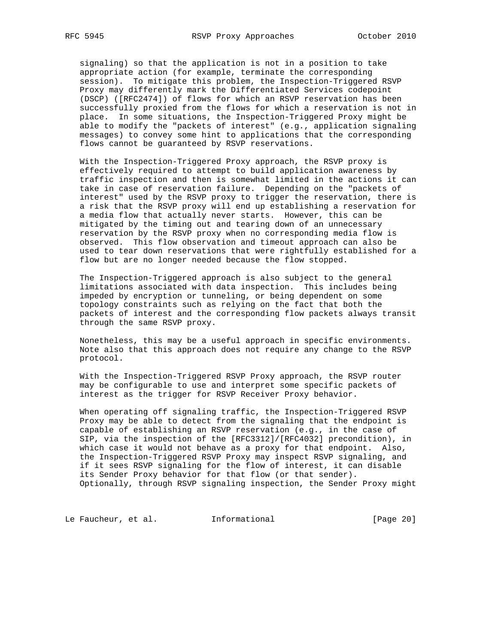signaling) so that the application is not in a position to take appropriate action (for example, terminate the corresponding session). To mitigate this problem, the Inspection-Triggered RSVP Proxy may differently mark the Differentiated Services codepoint (DSCP) ([RFC2474]) of flows for which an RSVP reservation has been successfully proxied from the flows for which a reservation is not in place. In some situations, the Inspection-Triggered Proxy might be able to modify the "packets of interest" (e.g., application signaling messages) to convey some hint to applications that the corresponding flows cannot be guaranteed by RSVP reservations.

 With the Inspection-Triggered Proxy approach, the RSVP proxy is effectively required to attempt to build application awareness by traffic inspection and then is somewhat limited in the actions it can take in case of reservation failure. Depending on the "packets of interest" used by the RSVP proxy to trigger the reservation, there is a risk that the RSVP proxy will end up establishing a reservation for a media flow that actually never starts. However, this can be mitigated by the timing out and tearing down of an unnecessary reservation by the RSVP proxy when no corresponding media flow is observed. This flow observation and timeout approach can also be used to tear down reservations that were rightfully established for a flow but are no longer needed because the flow stopped.

 The Inspection-Triggered approach is also subject to the general limitations associated with data inspection. This includes being impeded by encryption or tunneling, or being dependent on some topology constraints such as relying on the fact that both the packets of interest and the corresponding flow packets always transit through the same RSVP proxy.

 Nonetheless, this may be a useful approach in specific environments. Note also that this approach does not require any change to the RSVP protocol.

 With the Inspection-Triggered RSVP Proxy approach, the RSVP router may be configurable to use and interpret some specific packets of interest as the trigger for RSVP Receiver Proxy behavior.

 When operating off signaling traffic, the Inspection-Triggered RSVP Proxy may be able to detect from the signaling that the endpoint is capable of establishing an RSVP reservation (e.g., in the case of SIP, via the inspection of the [RFC3312]/[RFC4032] precondition), in which case it would not behave as a proxy for that endpoint. Also, the Inspection-Triggered RSVP Proxy may inspect RSVP signaling, and if it sees RSVP signaling for the flow of interest, it can disable its Sender Proxy behavior for that flow (or that sender). Optionally, through RSVP signaling inspection, the Sender Proxy might

Le Faucheur, et al. 1nformational [Page 20]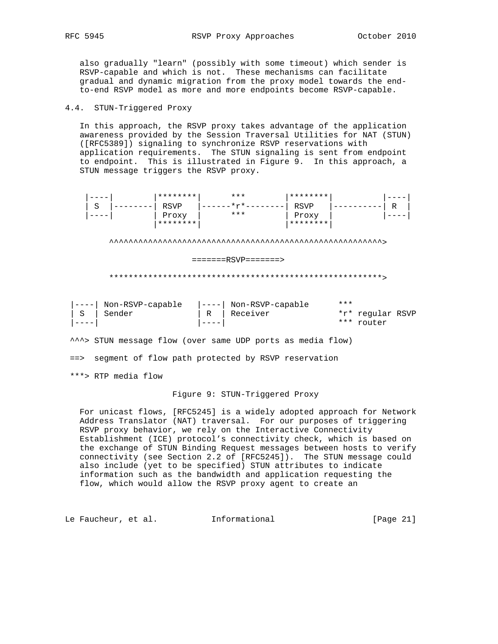also gradually "learn" (possibly with some timeout) which sender is RSVP-capable and which is not. These mechanisms can facilitate gradual and dynamic migration from the proxy model towards the end to-end RSVP model as more and more endpoints become RSVP-capable.

# 4.4. STUN-Triggered Proxy

 In this approach, the RSVP proxy takes advantage of the application awareness provided by the Session Traversal Utilities for NAT (STUN) ([RFC5389]) signaling to synchronize RSVP reservations with application requirements. The STUN signaling is sent from endpoint to endpoint. This is illustrated in Figure 9. In this approach, a STUN message triggers the RSVP proxy.

|                    |   |                            | ******** |   | ***                          | ********    |                  |                            |   |  |
|--------------------|---|----------------------------|----------|---|------------------------------|-------------|------------------|----------------------------|---|--|
|                    | S |                            | RSVP     |   | $*_{r*}$                     | <b>RSVP</b> |                  |                            | R |  |
|                    |   |                            | Proxy    |   | $***$                        | Proxy       |                  |                            |   |  |
|                    |   |                            | ******** |   |                              | ********    |                  |                            |   |  |
| $=====RSVP======>$ |   |                            |          |   |                              |             |                  |                            |   |  |
|                    |   |                            |          |   |                              |             |                  |                            |   |  |
| S                  |   | Non-RSVP-capable<br>Sender |          | R | Non-RSVP-capable<br>Receiver |             | $* * *$<br>* * * | *r* regular RSVP<br>router |   |  |

^^^> STUN message flow (over same UDP ports as media flow)

==> segment of flow path protected by RSVP reservation

\*\*\*> RTP media flow

#### Figure 9: STUN-Triggered Proxy

 For unicast flows, [RFC5245] is a widely adopted approach for Network Address Translator (NAT) traversal. For our purposes of triggering RSVP proxy behavior, we rely on the Interactive Connectivity Establishment (ICE) protocol's connectivity check, which is based on the exchange of STUN Binding Request messages between hosts to verify connectivity (see Section 2.2 of [RFC5245]). The STUN message could also include (yet to be specified) STUN attributes to indicate information such as the bandwidth and application requesting the flow, which would allow the RSVP proxy agent to create an

Le Faucheur, et al. 1nformational [Page 21]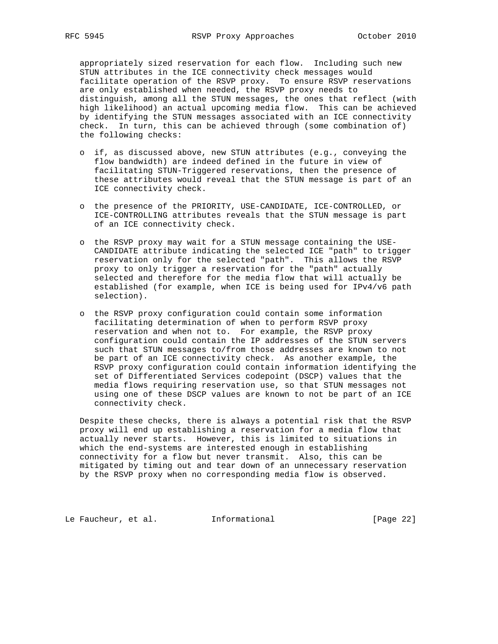appropriately sized reservation for each flow. Including such new STUN attributes in the ICE connectivity check messages would facilitate operation of the RSVP proxy. To ensure RSVP reservations are only established when needed, the RSVP proxy needs to distinguish, among all the STUN messages, the ones that reflect (with high likelihood) an actual upcoming media flow. This can be achieved by identifying the STUN messages associated with an ICE connectivity check. In turn, this can be achieved through (some combination of) the following checks:

- o if, as discussed above, new STUN attributes (e.g., conveying the flow bandwidth) are indeed defined in the future in view of facilitating STUN-Triggered reservations, then the presence of these attributes would reveal that the STUN message is part of an ICE connectivity check.
- o the presence of the PRIORITY, USE-CANDIDATE, ICE-CONTROLLED, or ICE-CONTROLLING attributes reveals that the STUN message is part of an ICE connectivity check.
- o the RSVP proxy may wait for a STUN message containing the USE- CANDIDATE attribute indicating the selected ICE "path" to trigger reservation only for the selected "path". This allows the RSVP proxy to only trigger a reservation for the "path" actually selected and therefore for the media flow that will actually be established (for example, when ICE is being used for IPv4/v6 path selection).
- o the RSVP proxy configuration could contain some information facilitating determination of when to perform RSVP proxy reservation and when not to. For example, the RSVP proxy configuration could contain the IP addresses of the STUN servers such that STUN messages to/from those addresses are known to not be part of an ICE connectivity check. As another example, the RSVP proxy configuration could contain information identifying the set of Differentiated Services codepoint (DSCP) values that the media flows requiring reservation use, so that STUN messages not using one of these DSCP values are known to not be part of an ICE connectivity check.

 Despite these checks, there is always a potential risk that the RSVP proxy will end up establishing a reservation for a media flow that actually never starts. However, this is limited to situations in which the end-systems are interested enough in establishing connectivity for a flow but never transmit. Also, this can be mitigated by timing out and tear down of an unnecessary reservation by the RSVP proxy when no corresponding media flow is observed.

Le Faucheur, et al. 1nformational [Page 22]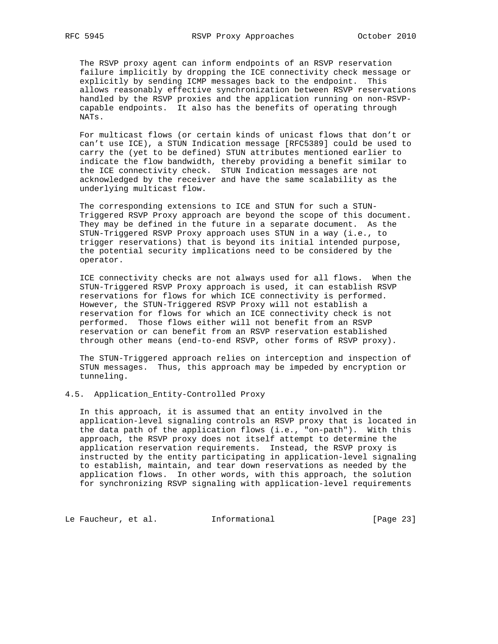The RSVP proxy agent can inform endpoints of an RSVP reservation failure implicitly by dropping the ICE connectivity check message or explicitly by sending ICMP messages back to the endpoint. This allows reasonably effective synchronization between RSVP reservations handled by the RSVP proxies and the application running on non-RSVP capable endpoints. It also has the benefits of operating through NATs.

 For multicast flows (or certain kinds of unicast flows that don't or can't use ICE), a STUN Indication message [RFC5389] could be used to carry the (yet to be defined) STUN attributes mentioned earlier to indicate the flow bandwidth, thereby providing a benefit similar to the ICE connectivity check. STUN Indication messages are not acknowledged by the receiver and have the same scalability as the underlying multicast flow.

 The corresponding extensions to ICE and STUN for such a STUN- Triggered RSVP Proxy approach are beyond the scope of this document. They may be defined in the future in a separate document. As the STUN-Triggered RSVP Proxy approach uses STUN in a way (i.e., to trigger reservations) that is beyond its initial intended purpose, the potential security implications need to be considered by the operator.

 ICE connectivity checks are not always used for all flows. When the STUN-Triggered RSVP Proxy approach is used, it can establish RSVP reservations for flows for which ICE connectivity is performed. However, the STUN-Triggered RSVP Proxy will not establish a reservation for flows for which an ICE connectivity check is not performed. Those flows either will not benefit from an RSVP reservation or can benefit from an RSVP reservation established through other means (end-to-end RSVP, other forms of RSVP proxy).

 The STUN-Triggered approach relies on interception and inspection of STUN messages. Thus, this approach may be impeded by encryption or tunneling.

# 4.5. Application\_Entity-Controlled Proxy

 In this approach, it is assumed that an entity involved in the application-level signaling controls an RSVP proxy that is located in the data path of the application flows (i.e., "on-path"). With this approach, the RSVP proxy does not itself attempt to determine the application reservation requirements. Instead, the RSVP proxy is instructed by the entity participating in application-level signaling to establish, maintain, and tear down reservations as needed by the application flows. In other words, with this approach, the solution for synchronizing RSVP signaling with application-level requirements

Le Faucheur, et al. 1nformational [Page 23]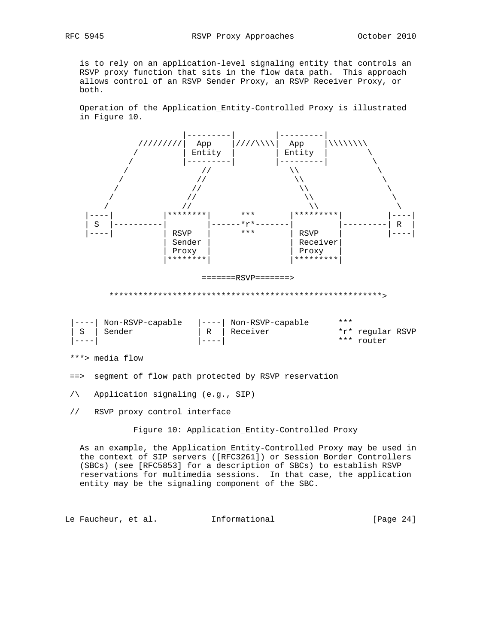is to rely on an application-level signaling entity that controls an RSVP proxy function that sits in the flow data path. This approach allows control of an RSVP Sender Proxy, an RSVP Receiver Proxy, or both.

 Operation of the Application\_Entity-Controlled Proxy is illustrated in Figure 10.



\*\*\*> media flow

==> segment of flow path protected by RSVP reservation

/\ Application signaling (e.g., SIP)

// RSVP proxy control interface

Figure 10: Application\_Entity-Controlled Proxy

 As an example, the Application\_Entity-Controlled Proxy may be used in the context of SIP servers ([RFC3261]) or Session Border Controllers (SBCs) (see [RFC5853] for a description of SBCs) to establish RSVP reservations for multimedia sessions. In that case, the application entity may be the signaling component of the SBC.

Le Faucheur, et al. Informational [Page 24]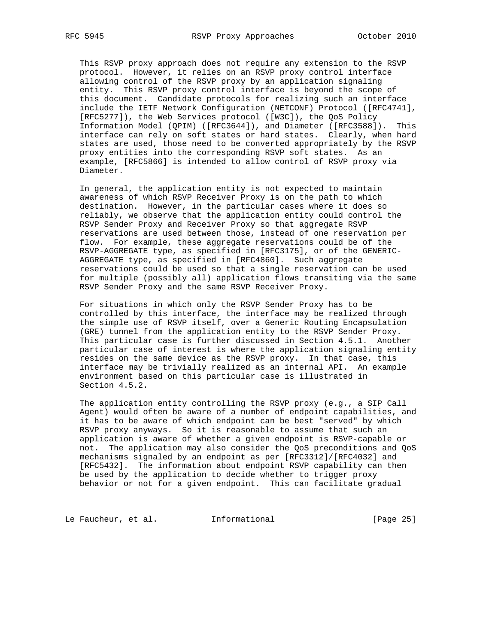This RSVP proxy approach does not require any extension to the RSVP protocol. However, it relies on an RSVP proxy control interface allowing control of the RSVP proxy by an application signaling entity. This RSVP proxy control interface is beyond the scope of this document. Candidate protocols for realizing such an interface include the IETF Network Configuration (NETCONF) Protocol ([RFC4741], [RFC5277]), the Web Services protocol ([W3C]), the QoS Policy Information Model (QPIM) ([RFC3644]), and Diameter ([RFC3588]). This interface can rely on soft states or hard states. Clearly, when hard states are used, those need to be converted appropriately by the RSVP proxy entities into the corresponding RSVP soft states. As an example, [RFC5866] is intended to allow control of RSVP proxy via Diameter.

 In general, the application entity is not expected to maintain awareness of which RSVP Receiver Proxy is on the path to which destination. However, in the particular cases where it does so reliably, we observe that the application entity could control the RSVP Sender Proxy and Receiver Proxy so that aggregate RSVP reservations are used between those, instead of one reservation per flow. For example, these aggregate reservations could be of the RSVP-AGGREGATE type, as specified in [RFC3175], or of the GENERIC- AGGREGATE type, as specified in [RFC4860]. Such aggregate reservations could be used so that a single reservation can be used for multiple (possibly all) application flows transiting via the same RSVP Sender Proxy and the same RSVP Receiver Proxy.

 For situations in which only the RSVP Sender Proxy has to be controlled by this interface, the interface may be realized through the simple use of RSVP itself, over a Generic Routing Encapsulation (GRE) tunnel from the application entity to the RSVP Sender Proxy. This particular case is further discussed in Section 4.5.1. Another particular case of interest is where the application signaling entity resides on the same device as the RSVP proxy. In that case, this interface may be trivially realized as an internal API. An example environment based on this particular case is illustrated in Section 4.5.2.

 The application entity controlling the RSVP proxy (e.g., a SIP Call Agent) would often be aware of a number of endpoint capabilities, and it has to be aware of which endpoint can be best "served" by which RSVP proxy anyways. So it is reasonable to assume that such an application is aware of whether a given endpoint is RSVP-capable or not. The application may also consider the QoS preconditions and QoS mechanisms signaled by an endpoint as per [RFC3312]/[RFC4032] and [RFC5432]. The information about endpoint RSVP capability can then be used by the application to decide whether to trigger proxy behavior or not for a given endpoint. This can facilitate gradual

Le Faucheur, et al. 1nformational [Page 25]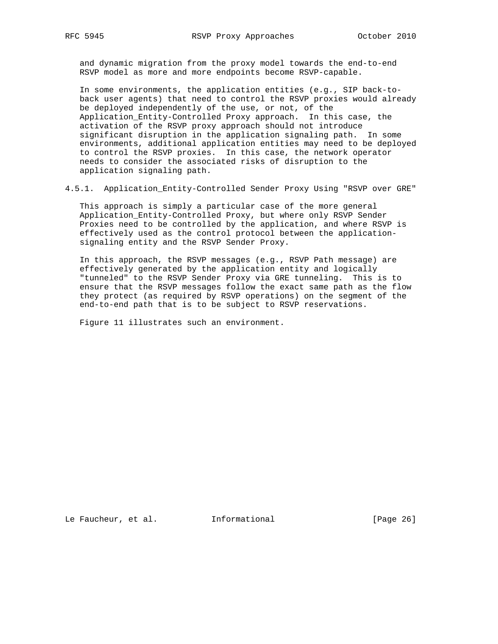and dynamic migration from the proxy model towards the end-to-end RSVP model as more and more endpoints become RSVP-capable.

 In some environments, the application entities (e.g., SIP back-to back user agents) that need to control the RSVP proxies would already be deployed independently of the use, or not, of the Application\_Entity-Controlled Proxy approach. In this case, the activation of the RSVP proxy approach should not introduce significant disruption in the application signaling path. In some environments, additional application entities may need to be deployed to control the RSVP proxies. In this case, the network operator needs to consider the associated risks of disruption to the application signaling path.

4.5.1. Application\_Entity-Controlled Sender Proxy Using "RSVP over GRE"

 This approach is simply a particular case of the more general Application\_Entity-Controlled Proxy, but where only RSVP Sender Proxies need to be controlled by the application, and where RSVP is effectively used as the control protocol between the application signaling entity and the RSVP Sender Proxy.

 In this approach, the RSVP messages (e.g., RSVP Path message) are effectively generated by the application entity and logically "tunneled" to the RSVP Sender Proxy via GRE tunneling. This is to ensure that the RSVP messages follow the exact same path as the flow they protect (as required by RSVP operations) on the segment of the end-to-end path that is to be subject to RSVP reservations.

Figure 11 illustrates such an environment.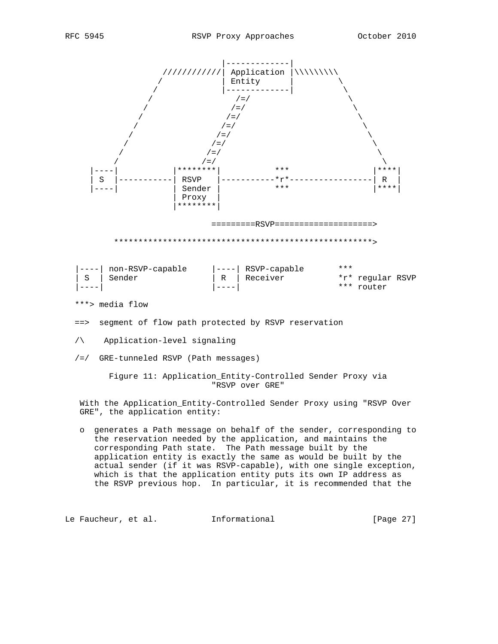

- /\ Application-level signaling
- /=/ GRE-tunneled RSVP (Path messages)

 Figure 11: Application\_Entity-Controlled Sender Proxy via "RSVP over GRE"

 With the Application\_Entity-Controlled Sender Proxy using "RSVP Over GRE", the application entity:

 o generates a Path message on behalf of the sender, corresponding to the reservation needed by the application, and maintains the corresponding Path state. The Path message built by the application entity is exactly the same as would be built by the actual sender (if it was RSVP-capable), with one single exception, which is that the application entity puts its own IP address as the RSVP previous hop. In particular, it is recommended that the

Le Faucheur, et al. 1nformational 1999 [Page 27]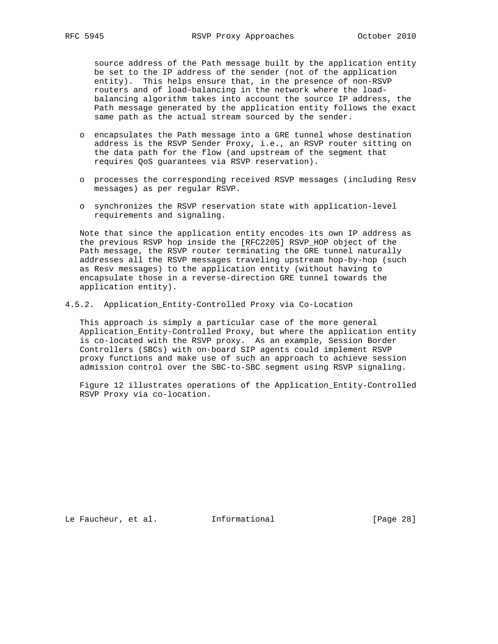source address of the Path message built by the application entity be set to the IP address of the sender (not of the application entity). This helps ensure that, in the presence of non-RSVP routers and of load-balancing in the network where the load balancing algorithm takes into account the source IP address, the Path message generated by the application entity follows the exact same path as the actual stream sourced by the sender.

- o encapsulates the Path message into a GRE tunnel whose destination address is the RSVP Sender Proxy, i.e., an RSVP router sitting on the data path for the flow (and upstream of the segment that requires QoS guarantees via RSVP reservation).
- o processes the corresponding received RSVP messages (including Resv messages) as per regular RSVP.
- o synchronizes the RSVP reservation state with application-level requirements and signaling.

 Note that since the application entity encodes its own IP address as the previous RSVP hop inside the [RFC2205] RSVP\_HOP object of the Path message, the RSVP router terminating the GRE tunnel naturally addresses all the RSVP messages traveling upstream hop-by-hop (such as Resv messages) to the application entity (without having to encapsulate those in a reverse-direction GRE tunnel towards the application entity).

## 4.5.2. Application\_Entity-Controlled Proxy via Co-Location

 This approach is simply a particular case of the more general Application\_Entity-Controlled Proxy, but where the application entity is co-located with the RSVP proxy. As an example, Session Border Controllers (SBCs) with on-board SIP agents could implement RSVP proxy functions and make use of such an approach to achieve session admission control over the SBC-to-SBC segment using RSVP signaling.

 Figure 12 illustrates operations of the Application\_Entity-Controlled RSVP Proxy via co-location.

Le Faucheur, et al. 1nformational [Page 28]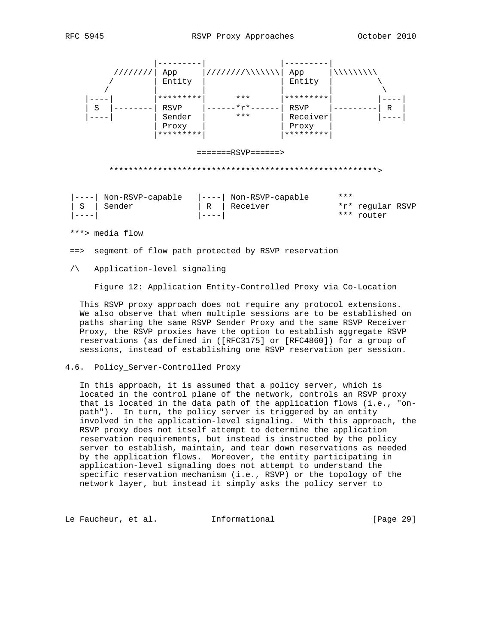

==> segment of flow path protected by RSVP reservation

# /\ Application-level signaling

Figure 12: Application\_Entity-Controlled Proxy via Co-Location

 This RSVP proxy approach does not require any protocol extensions. We also observe that when multiple sessions are to be established on paths sharing the same RSVP Sender Proxy and the same RSVP Receiver Proxy, the RSVP proxies have the option to establish aggregate RSVP reservations (as defined in ([RFC3175] or [RFC4860]) for a group of sessions, instead of establishing one RSVP reservation per session.

## 4.6. Policy\_Server-Controlled Proxy

 In this approach, it is assumed that a policy server, which is located in the control plane of the network, controls an RSVP proxy that is located in the data path of the application flows (i.e., "on path"). In turn, the policy server is triggered by an entity involved in the application-level signaling. With this approach, the RSVP proxy does not itself attempt to determine the application reservation requirements, but instead is instructed by the policy server to establish, maintain, and tear down reservations as needed by the application flows. Moreover, the entity participating in application-level signaling does not attempt to understand the specific reservation mechanism (i.e., RSVP) or the topology of the network layer, but instead it simply asks the policy server to

Le Faucheur, et al. 1nformational [Page 29]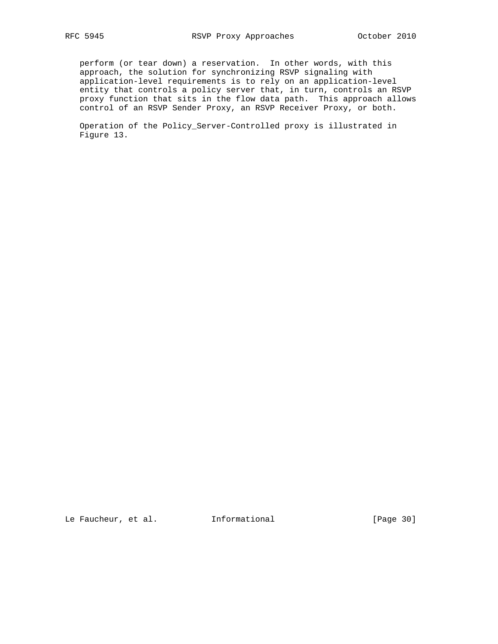perform (or tear down) a reservation. In other words, with this approach, the solution for synchronizing RSVP signaling with application-level requirements is to rely on an application-level entity that controls a policy server that, in turn, controls an RSVP proxy function that sits in the flow data path. This approach allows control of an RSVP Sender Proxy, an RSVP Receiver Proxy, or both.

 Operation of the Policy\_Server-Controlled proxy is illustrated in Figure 13.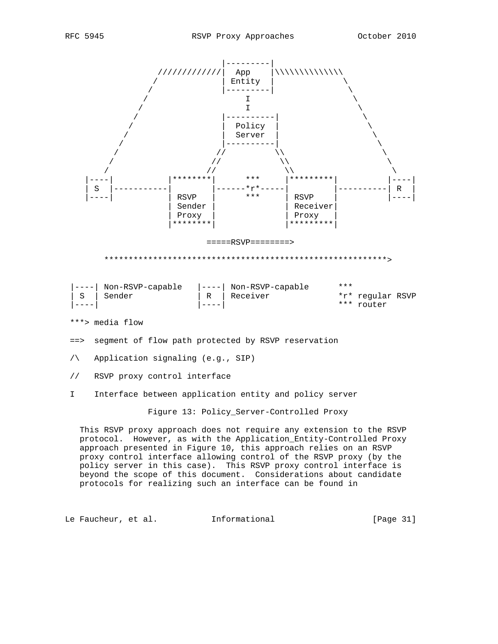

- ==> segment of flow path protected by RSVP reservation
- /\ Application signaling (e.g., SIP)
- // RSVP proxy control interface
- I Interface between application entity and policy server

Figure 13: Policy\_Server-Controlled Proxy

 This RSVP proxy approach does not require any extension to the RSVP protocol. However, as with the Application\_Entity-Controlled Proxy approach presented in Figure 10, this approach relies on an RSVP proxy control interface allowing control of the RSVP proxy (by the policy server in this case). This RSVP proxy control interface is beyond the scope of this document. Considerations about candidate protocols for realizing such an interface can be found in

Le Faucheur, et al. Informational [Page 31]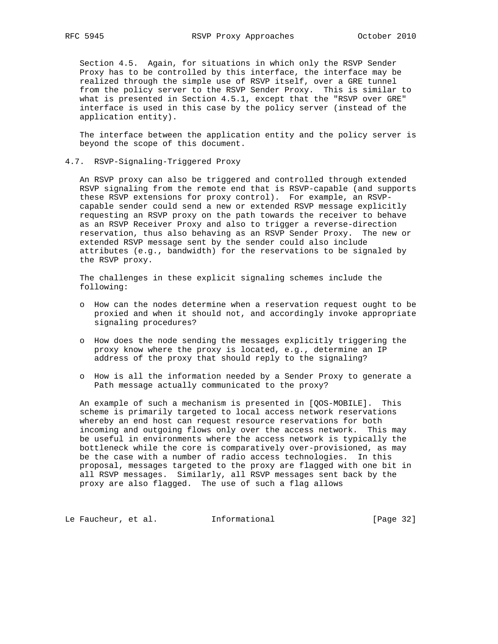Section 4.5. Again, for situations in which only the RSVP Sender Proxy has to be controlled by this interface, the interface may be realized through the simple use of RSVP itself, over a GRE tunnel from the policy server to the RSVP Sender Proxy. This is similar to what is presented in Section 4.5.1, except that the "RSVP over GRE" interface is used in this case by the policy server (instead of the application entity).

 The interface between the application entity and the policy server is beyond the scope of this document.

4.7. RSVP-Signaling-Triggered Proxy

 An RSVP proxy can also be triggered and controlled through extended RSVP signaling from the remote end that is RSVP-capable (and supports these RSVP extensions for proxy control). For example, an RSVP capable sender could send a new or extended RSVP message explicitly requesting an RSVP proxy on the path towards the receiver to behave as an RSVP Receiver Proxy and also to trigger a reverse-direction reservation, thus also behaving as an RSVP Sender Proxy. The new or extended RSVP message sent by the sender could also include attributes (e.g., bandwidth) for the reservations to be signaled by the RSVP proxy.

 The challenges in these explicit signaling schemes include the following:

- o How can the nodes determine when a reservation request ought to be proxied and when it should not, and accordingly invoke appropriate signaling procedures?
- o How does the node sending the messages explicitly triggering the proxy know where the proxy is located, e.g., determine an IP address of the proxy that should reply to the signaling?
- o How is all the information needed by a Sender Proxy to generate a Path message actually communicated to the proxy?

 An example of such a mechanism is presented in [QOS-MOBILE]. This scheme is primarily targeted to local access network reservations whereby an end host can request resource reservations for both incoming and outgoing flows only over the access network. This may be useful in environments where the access network is typically the bottleneck while the core is comparatively over-provisioned, as may be the case with a number of radio access technologies. In this proposal, messages targeted to the proxy are flagged with one bit in all RSVP messages. Similarly, all RSVP messages sent back by the proxy are also flagged. The use of such a flag allows

Le Faucheur, et al. 1nformational [Page 32]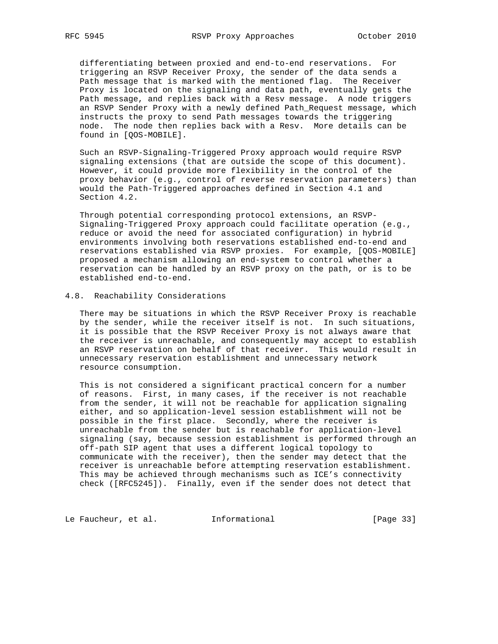differentiating between proxied and end-to-end reservations. For triggering an RSVP Receiver Proxy, the sender of the data sends a Path message that is marked with the mentioned flag. The Receiver Proxy is located on the signaling and data path, eventually gets the Path message, and replies back with a Resv message. A node triggers an RSVP Sender Proxy with a newly defined Path\_Request message, which instructs the proxy to send Path messages towards the triggering node. The node then replies back with a Resv. More details can be found in [QOS-MOBILE].

 Such an RSVP-Signaling-Triggered Proxy approach would require RSVP signaling extensions (that are outside the scope of this document). However, it could provide more flexibility in the control of the proxy behavior (e.g., control of reverse reservation parameters) than would the Path-Triggered approaches defined in Section 4.1 and Section 4.2.

 Through potential corresponding protocol extensions, an RSVP- Signaling-Triggered Proxy approach could facilitate operation (e.g., reduce or avoid the need for associated configuration) in hybrid environments involving both reservations established end-to-end and reservations established via RSVP proxies. For example, [QOS-MOBILE] proposed a mechanism allowing an end-system to control whether a reservation can be handled by an RSVP proxy on the path, or is to be established end-to-end.

# 4.8. Reachability Considerations

 There may be situations in which the RSVP Receiver Proxy is reachable by the sender, while the receiver itself is not. In such situations, it is possible that the RSVP Receiver Proxy is not always aware that the receiver is unreachable, and consequently may accept to establish an RSVP reservation on behalf of that receiver. This would result in unnecessary reservation establishment and unnecessary network resource consumption.

 This is not considered a significant practical concern for a number of reasons. First, in many cases, if the receiver is not reachable from the sender, it will not be reachable for application signaling either, and so application-level session establishment will not be possible in the first place. Secondly, where the receiver is unreachable from the sender but is reachable for application-level signaling (say, because session establishment is performed through an off-path SIP agent that uses a different logical topology to communicate with the receiver), then the sender may detect that the receiver is unreachable before attempting reservation establishment. This may be achieved through mechanisms such as ICE's connectivity check ([RFC5245]). Finally, even if the sender does not detect that

Le Faucheur, et al. 1nformational [Page 33]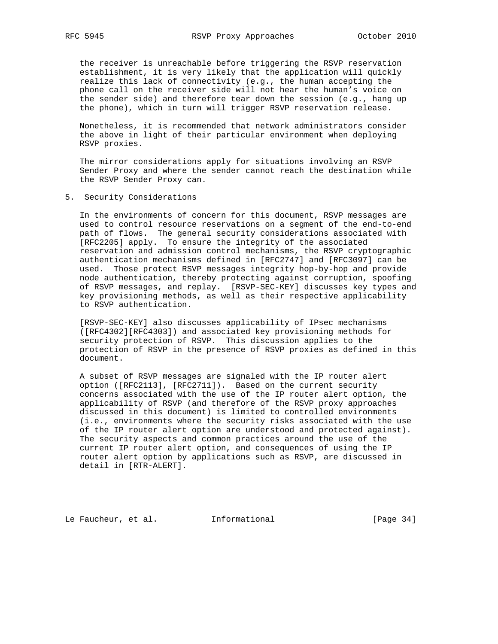the receiver is unreachable before triggering the RSVP reservation establishment, it is very likely that the application will quickly realize this lack of connectivity (e.g., the human accepting the phone call on the receiver side will not hear the human's voice on the sender side) and therefore tear down the session (e.g., hang up the phone), which in turn will trigger RSVP reservation release.

 Nonetheless, it is recommended that network administrators consider the above in light of their particular environment when deploying RSVP proxies.

 The mirror considerations apply for situations involving an RSVP Sender Proxy and where the sender cannot reach the destination while the RSVP Sender Proxy can.

5. Security Considerations

 In the environments of concern for this document, RSVP messages are used to control resource reservations on a segment of the end-to-end path of flows. The general security considerations associated with [RFC2205] apply. To ensure the integrity of the associated reservation and admission control mechanisms, the RSVP cryptographic authentication mechanisms defined in [RFC2747] and [RFC3097] can be used. Those protect RSVP messages integrity hop-by-hop and provide node authentication, thereby protecting against corruption, spoofing of RSVP messages, and replay. [RSVP-SEC-KEY] discusses key types and key provisioning methods, as well as their respective applicability to RSVP authentication.

 [RSVP-SEC-KEY] also discusses applicability of IPsec mechanisms ([RFC4302][RFC4303]) and associated key provisioning methods for security protection of RSVP. This discussion applies to the protection of RSVP in the presence of RSVP proxies as defined in this document.

 A subset of RSVP messages are signaled with the IP router alert option ([RFC2113], [RFC2711]). Based on the current security concerns associated with the use of the IP router alert option, the applicability of RSVP (and therefore of the RSVP proxy approaches discussed in this document) is limited to controlled environments (i.e., environments where the security risks associated with the use of the IP router alert option are understood and protected against). The security aspects and common practices around the use of the current IP router alert option, and consequences of using the IP router alert option by applications such as RSVP, are discussed in detail in [RTR-ALERT].

Le Faucheur, et al. 1nformational [Page 34]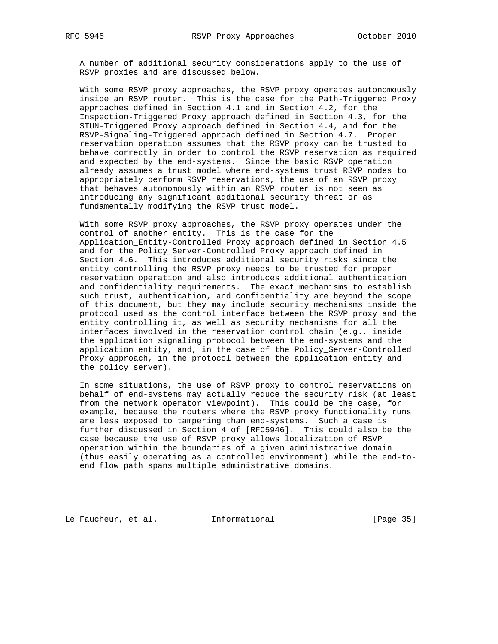A number of additional security considerations apply to the use of RSVP proxies and are discussed below.

 With some RSVP proxy approaches, the RSVP proxy operates autonomously inside an RSVP router. This is the case for the Path-Triggered Proxy approaches defined in Section 4.1 and in Section 4.2, for the Inspection-Triggered Proxy approach defined in Section 4.3, for the STUN-Triggered Proxy approach defined in Section 4.4, and for the RSVP-Signaling-Triggered approach defined in Section 4.7. Proper reservation operation assumes that the RSVP proxy can be trusted to behave correctly in order to control the RSVP reservation as required and expected by the end-systems. Since the basic RSVP operation already assumes a trust model where end-systems trust RSVP nodes to appropriately perform RSVP reservations, the use of an RSVP proxy that behaves autonomously within an RSVP router is not seen as introducing any significant additional security threat or as fundamentally modifying the RSVP trust model.

 With some RSVP proxy approaches, the RSVP proxy operates under the control of another entity. This is the case for the Application\_Entity-Controlled Proxy approach defined in Section 4.5 and for the Policy\_Server-Controlled Proxy approach defined in Section 4.6. This introduces additional security risks since the entity controlling the RSVP proxy needs to be trusted for proper reservation operation and also introduces additional authentication and confidentiality requirements. The exact mechanisms to establish such trust, authentication, and confidentiality are beyond the scope of this document, but they may include security mechanisms inside the protocol used as the control interface between the RSVP proxy and the entity controlling it, as well as security mechanisms for all the interfaces involved in the reservation control chain (e.g., inside the application signaling protocol between the end-systems and the application entity, and, in the case of the Policy\_Server-Controlled Proxy approach, in the protocol between the application entity and the policy server).

 In some situations, the use of RSVP proxy to control reservations on behalf of end-systems may actually reduce the security risk (at least from the network operator viewpoint). This could be the case, for example, because the routers where the RSVP proxy functionality runs are less exposed to tampering than end-systems. Such a case is further discussed in Section 4 of [RFC5946]. This could also be the case because the use of RSVP proxy allows localization of RSVP operation within the boundaries of a given administrative domain (thus easily operating as a controlled environment) while the end-to end flow path spans multiple administrative domains.

Le Faucheur, et al. 1nformational [Page 35]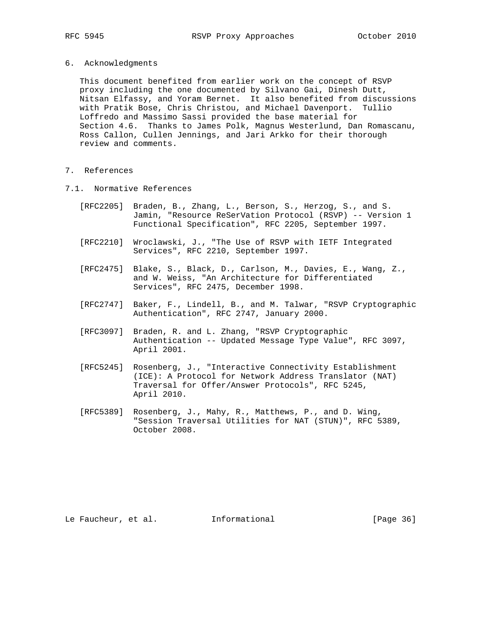- 
- 6. Acknowledgments

 This document benefited from earlier work on the concept of RSVP proxy including the one documented by Silvano Gai, Dinesh Dutt, Nitsan Elfassy, and Yoram Bernet. It also benefited from discussions with Pratik Bose, Chris Christou, and Michael Davenport. Tullio Loffredo and Massimo Sassi provided the base material for Section 4.6. Thanks to James Polk, Magnus Westerlund, Dan Romascanu, Ross Callon, Cullen Jennings, and Jari Arkko for their thorough review and comments.

- 7. References
- 7.1. Normative References
	- [RFC2205] Braden, B., Zhang, L., Berson, S., Herzog, S., and S. Jamin, "Resource ReSerVation Protocol (RSVP) -- Version 1 Functional Specification", RFC 2205, September 1997.
	- [RFC2210] Wroclawski, J., "The Use of RSVP with IETF Integrated Services", RFC 2210, September 1997.
	- [RFC2475] Blake, S., Black, D., Carlson, M., Davies, E., Wang, Z., and W. Weiss, "An Architecture for Differentiated Services", RFC 2475, December 1998.
	- [RFC2747] Baker, F., Lindell, B., and M. Talwar, "RSVP Cryptographic Authentication", RFC 2747, January 2000.
	- [RFC3097] Braden, R. and L. Zhang, "RSVP Cryptographic Authentication -- Updated Message Type Value", RFC 3097, April 2001.
	- [RFC5245] Rosenberg, J., "Interactive Connectivity Establishment (ICE): A Protocol for Network Address Translator (NAT) Traversal for Offer/Answer Protocols", RFC 5245, April 2010.
	- [RFC5389] Rosenberg, J., Mahy, R., Matthews, P., and D. Wing, "Session Traversal Utilities for NAT (STUN)", RFC 5389, October 2008.

Le Faucheur, et al. 1nformational [Page 36]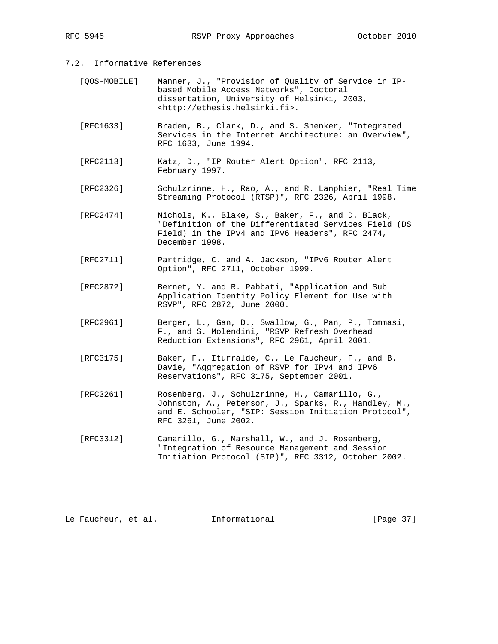- 7.2. Informative References
	- [QOS-MOBILE] Manner, J., "Provision of Quality of Service in IP based Mobile Access Networks", Doctoral dissertation, University of Helsinki, 2003, <http://ethesis.helsinki.fi>.
	- [RFC1633] Braden, B., Clark, D., and S. Shenker, "Integrated Services in the Internet Architecture: an Overview", RFC 1633, June 1994.
	- [RFC2113] Katz, D., "IP Router Alert Option", RFC 2113, February 1997.
	- [RFC2326] Schulzrinne, H., Rao, A., and R. Lanphier, "Real Time Streaming Protocol (RTSP)", RFC 2326, April 1998.
	- [RFC2474] Nichols, K., Blake, S., Baker, F., and D. Black, "Definition of the Differentiated Services Field (DS Field) in the IPv4 and IPv6 Headers", RFC 2474, December 1998.
	- [RFC2711] Partridge, C. and A. Jackson, "IPv6 Router Alert Option", RFC 2711, October 1999.
	- [RFC2872] Bernet, Y. and R. Pabbati, "Application and Sub Application Identity Policy Element for Use with RSVP", RFC 2872, June 2000.
	- [RFC2961] Berger, L., Gan, D., Swallow, G., Pan, P., Tommasi, F., and S. Molendini, "RSVP Refresh Overhead Reduction Extensions", RFC 2961, April 2001.
	- [RFC3175] Baker, F., Iturralde, C., Le Faucheur, F., and B. Davie, "Aggregation of RSVP for IPv4 and IPv6 Reservations", RFC 3175, September 2001.
	- [RFC3261] Rosenberg, J., Schulzrinne, H., Camarillo, G., Johnston, A., Peterson, J., Sparks, R., Handley, M., and E. Schooler, "SIP: Session Initiation Protocol", RFC 3261, June 2002.
	- [RFC3312] Camarillo, G., Marshall, W., and J. Rosenberg, "Integration of Resource Management and Session Initiation Protocol (SIP)", RFC 3312, October 2002.

Le Faucheur, et al. Informational [Page 37]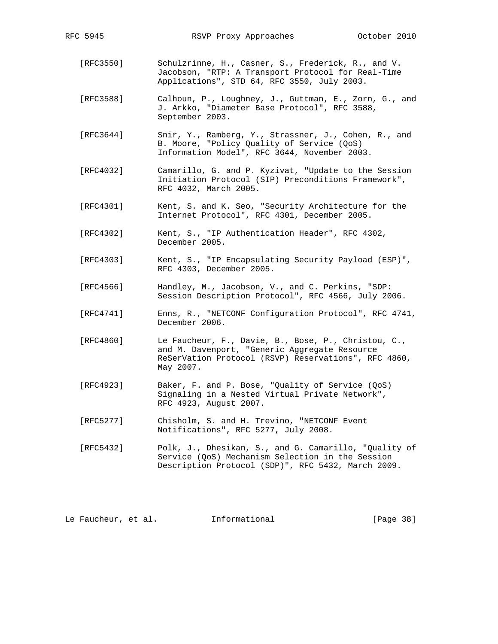- [RFC3550] Schulzrinne, H., Casner, S., Frederick, R., and V. Jacobson, "RTP: A Transport Protocol for Real-Time Applications", STD 64, RFC 3550, July 2003.
- [RFC3588] Calhoun, P., Loughney, J., Guttman, E., Zorn, G., and J. Arkko, "Diameter Base Protocol", RFC 3588, September 2003.
- [RFC3644] Snir, Y., Ramberg, Y., Strassner, J., Cohen, R., and B. Moore, "Policy Quality of Service (QoS) Information Model", RFC 3644, November 2003.
- [RFC4032] Camarillo, G. and P. Kyzivat, "Update to the Session Initiation Protocol (SIP) Preconditions Framework", RFC 4032, March 2005.
- [RFC4301] Kent, S. and K. Seo, "Security Architecture for the Internet Protocol", RFC 4301, December 2005.
- [RFC4302] Kent, S., "IP Authentication Header", RFC 4302, December 2005.
- [RFC4303] Kent, S., "IP Encapsulating Security Payload (ESP)", RFC 4303, December 2005.
- [RFC4566] Handley, M., Jacobson, V., and C. Perkins, "SDP: Session Description Protocol", RFC 4566, July 2006.
- [RFC4741] Enns, R., "NETCONF Configuration Protocol", RFC 4741, December 2006.
- [RFC4860] Le Faucheur, F., Davie, B., Bose, P., Christou, C., and M. Davenport, "Generic Aggregate Resource ReSerVation Protocol (RSVP) Reservations", RFC 4860, May 2007.
- [RFC4923] Baker, F. and P. Bose, "Quality of Service (QoS) Signaling in a Nested Virtual Private Network", RFC 4923, August 2007.
- [RFC5277] Chisholm, S. and H. Trevino, "NETCONF Event Notifications", RFC 5277, July 2008.
- [RFC5432] Polk, J., Dhesikan, S., and G. Camarillo, "Quality of Service (QoS) Mechanism Selection in the Session Description Protocol (SDP)", RFC 5432, March 2009.

Le Faucheur, et al. Informational [Page 38]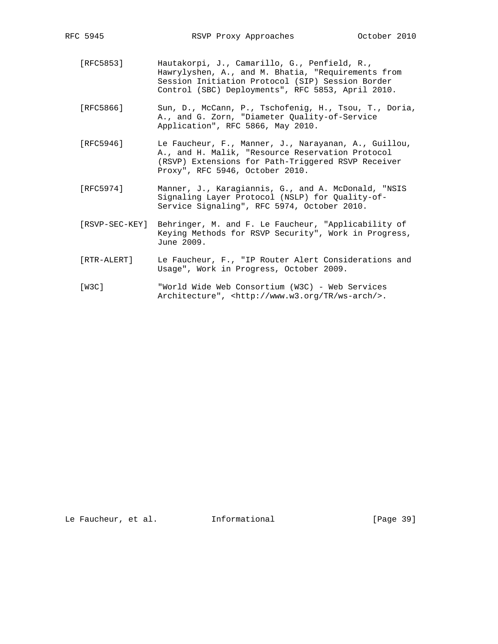- [RFC5853] Hautakorpi, J., Camarillo, G., Penfield, R., Hawrylyshen, A., and M. Bhatia, "Requirements from Session Initiation Protocol (SIP) Session Border Control (SBC) Deployments", RFC 5853, April 2010.
- [RFC5866] Sun, D., McCann, P., Tschofenig, H., Tsou, T., Doria, A., and G. Zorn, "Diameter Quality-of-Service Application", RFC 5866, May 2010.
- [RFC5946] Le Faucheur, F., Manner, J., Narayanan, A., Guillou, A., and H. Malik, "Resource Reservation Protocol (RSVP) Extensions for Path-Triggered RSVP Receiver Proxy", RFC 5946, October 2010.
- [RFC5974] Manner, J., Karagiannis, G., and A. McDonald, "NSIS Signaling Layer Protocol (NSLP) for Quality-of- Service Signaling", RFC 5974, October 2010.
- [RSVP-SEC-KEY] Behringer, M. and F. Le Faucheur, "Applicability of Keying Methods for RSVP Security", Work in Progress, June 2009.
- [RTR-ALERT] Le Faucheur, F., "IP Router Alert Considerations and Usage", Work in Progress, October 2009.
- [W3C] "World Wide Web Consortium (W3C) Web Services Architecture", <http://www.w3.org/TR/ws-arch/>.

Le Faucheur, et al. Informational [Page 39]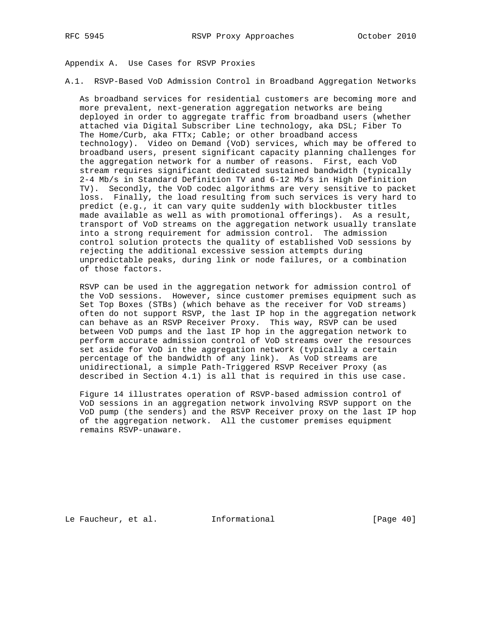Appendix A. Use Cases for RSVP Proxies

A.1. RSVP-Based VoD Admission Control in Broadband Aggregation Networks

 As broadband services for residential customers are becoming more and more prevalent, next-generation aggregation networks are being deployed in order to aggregate traffic from broadband users (whether attached via Digital Subscriber Line technology, aka DSL; Fiber To The Home/Curb, aka FTTx; Cable; or other broadband access technology). Video on Demand (VoD) services, which may be offered to broadband users, present significant capacity planning challenges for the aggregation network for a number of reasons. First, each VoD stream requires significant dedicated sustained bandwidth (typically 2-4 Mb/s in Standard Definition TV and 6-12 Mb/s in High Definition TV). Secondly, the VoD codec algorithms are very sensitive to packet loss. Finally, the load resulting from such services is very hard to predict (e.g., it can vary quite suddenly with blockbuster titles made available as well as with promotional offerings). As a result, transport of VoD streams on the aggregation network usually translate into a strong requirement for admission control. The admission control solution protects the quality of established VoD sessions by rejecting the additional excessive session attempts during unpredictable peaks, during link or node failures, or a combination of those factors.

 RSVP can be used in the aggregation network for admission control of the VoD sessions. However, since customer premises equipment such as Set Top Boxes (STBs) (which behave as the receiver for VoD streams) often do not support RSVP, the last IP hop in the aggregation network can behave as an RSVP Receiver Proxy. This way, RSVP can be used between VoD pumps and the last IP hop in the aggregation network to perform accurate admission control of VoD streams over the resources set aside for VoD in the aggregation network (typically a certain percentage of the bandwidth of any link). As VoD streams are unidirectional, a simple Path-Triggered RSVP Receiver Proxy (as described in Section 4.1) is all that is required in this use case.

 Figure 14 illustrates operation of RSVP-based admission control of VoD sessions in an aggregation network involving RSVP support on the VoD pump (the senders) and the RSVP Receiver proxy on the last IP hop of the aggregation network. All the customer premises equipment remains RSVP-unaware.

Le Faucheur, et al. 1nformational [Page 40]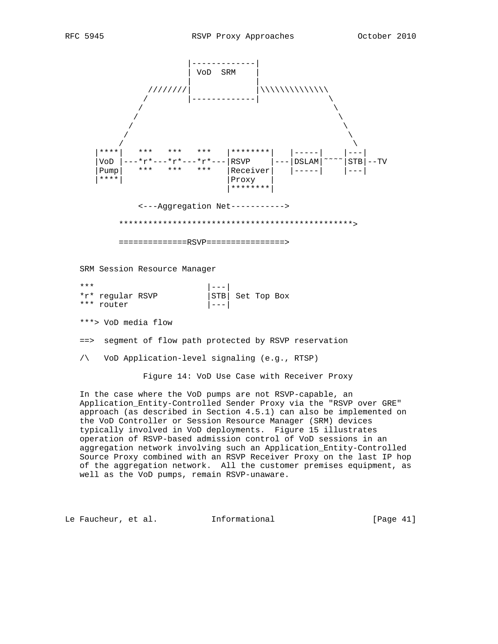

 In the case where the VoD pumps are not RSVP-capable, an Application\_Entity-Controlled Sender Proxy via the "RSVP over GRE" approach (as described in Section 4.5.1) can also be implemented on the VoD Controller or Session Resource Manager (SRM) devices typically involved in VoD deployments. Figure 15 illustrates operation of RSVP-based admission control of VoD sessions in an aggregation network involving such an Application\_Entity-Controlled Source Proxy combined with an RSVP Receiver Proxy on the last IP hop of the aggregation network. All the customer premises equipment, as well as the VoD pumps, remain RSVP-unaware.

Le Faucheur, et al. Informational [Page 41]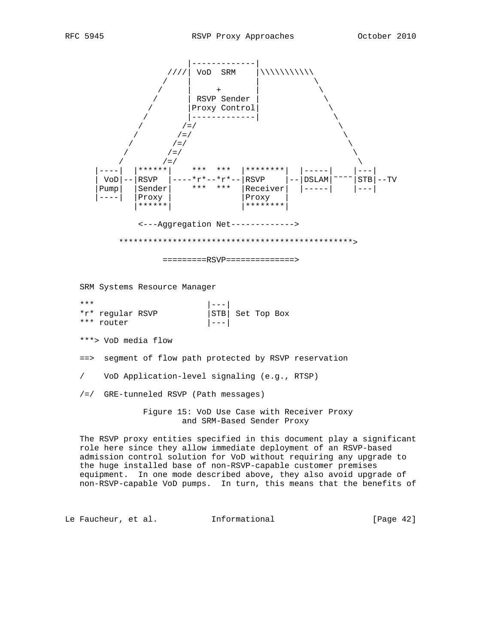

non-RSVP-capable VoD pumps. In turn, this means that the benefits of

Le Faucheur, et al. Informational [Page 42]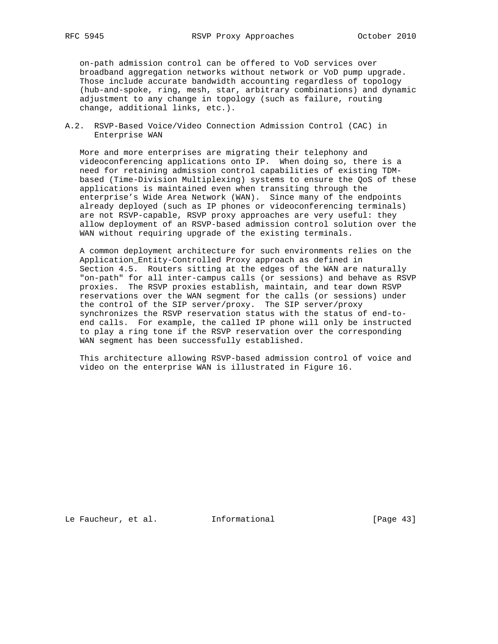on-path admission control can be offered to VoD services over broadband aggregation networks without network or VoD pump upgrade. Those include accurate bandwidth accounting regardless of topology (hub-and-spoke, ring, mesh, star, arbitrary combinations) and dynamic adjustment to any change in topology (such as failure, routing change, additional links, etc.).

A.2. RSVP-Based Voice/Video Connection Admission Control (CAC) in Enterprise WAN

 More and more enterprises are migrating their telephony and videoconferencing applications onto IP. When doing so, there is a need for retaining admission control capabilities of existing TDM based (Time-Division Multiplexing) systems to ensure the QoS of these applications is maintained even when transiting through the enterprise's Wide Area Network (WAN). Since many of the endpoints already deployed (such as IP phones or videoconferencing terminals) are not RSVP-capable, RSVP proxy approaches are very useful: they allow deployment of an RSVP-based admission control solution over the WAN without requiring upgrade of the existing terminals.

 A common deployment architecture for such environments relies on the Application\_Entity-Controlled Proxy approach as defined in Section 4.5. Routers sitting at the edges of the WAN are naturally "on-path" for all inter-campus calls (or sessions) and behave as RSVP proxies. The RSVP proxies establish, maintain, and tear down RSVP reservations over the WAN segment for the calls (or sessions) under the control of the SIP server/proxy. The SIP server/proxy synchronizes the RSVP reservation status with the status of end-to end calls. For example, the called IP phone will only be instructed to play a ring tone if the RSVP reservation over the corresponding WAN segment has been successfully established.

 This architecture allowing RSVP-based admission control of voice and video on the enterprise WAN is illustrated in Figure 16.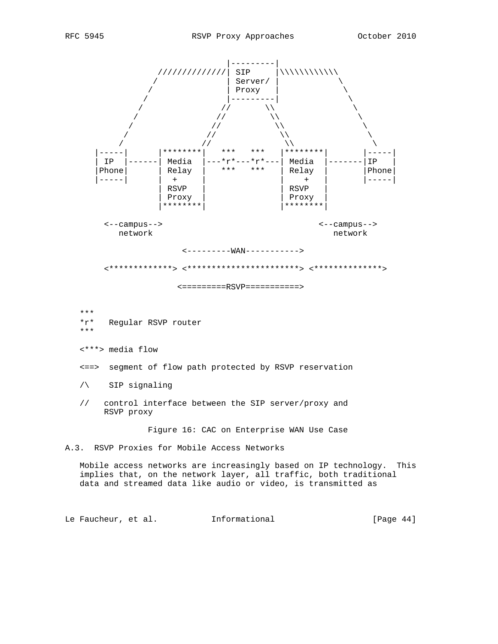

Le Faucheur, et al. Informational [Page 44]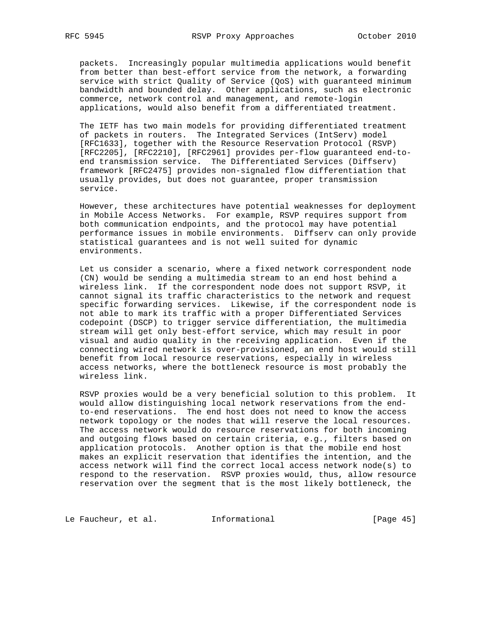packets. Increasingly popular multimedia applications would benefit from better than best-effort service from the network, a forwarding service with strict Quality of Service (QoS) with guaranteed minimum bandwidth and bounded delay. Other applications, such as electronic commerce, network control and management, and remote-login applications, would also benefit from a differentiated treatment.

 The IETF has two main models for providing differentiated treatment of packets in routers. The Integrated Services (IntServ) model [RFC1633], together with the Resource Reservation Protocol (RSVP) [RFC2205], [RFC2210], [RFC2961] provides per-flow guaranteed end-to end transmission service. The Differentiated Services (Diffserv) framework [RFC2475] provides non-signaled flow differentiation that usually provides, but does not guarantee, proper transmission service.

 However, these architectures have potential weaknesses for deployment in Mobile Access Networks. For example, RSVP requires support from both communication endpoints, and the protocol may have potential performance issues in mobile environments. Diffserv can only provide statistical guarantees and is not well suited for dynamic environments.

 Let us consider a scenario, where a fixed network correspondent node (CN) would be sending a multimedia stream to an end host behind a wireless link. If the correspondent node does not support RSVP, it cannot signal its traffic characteristics to the network and request specific forwarding services. Likewise, if the correspondent node is not able to mark its traffic with a proper Differentiated Services codepoint (DSCP) to trigger service differentiation, the multimedia stream will get only best-effort service, which may result in poor visual and audio quality in the receiving application. Even if the connecting wired network is over-provisioned, an end host would still benefit from local resource reservations, especially in wireless access networks, where the bottleneck resource is most probably the wireless link.

 RSVP proxies would be a very beneficial solution to this problem. It would allow distinguishing local network reservations from the end to-end reservations. The end host does not need to know the access network topology or the nodes that will reserve the local resources. The access network would do resource reservations for both incoming and outgoing flows based on certain criteria, e.g., filters based on application protocols. Another option is that the mobile end host makes an explicit reservation that identifies the intention, and the access network will find the correct local access network node(s) to respond to the reservation. RSVP proxies would, thus, allow resource reservation over the segment that is the most likely bottleneck, the

Le Faucheur, et al. 1nformational [Page 45]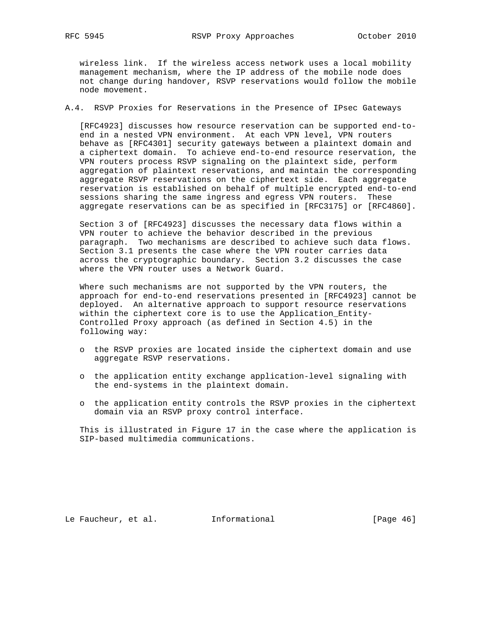wireless link. If the wireless access network uses a local mobility management mechanism, where the IP address of the mobile node does not change during handover, RSVP reservations would follow the mobile node movement.

A.4. RSVP Proxies for Reservations in the Presence of IPsec Gateways

 [RFC4923] discusses how resource reservation can be supported end-to end in a nested VPN environment. At each VPN level, VPN routers behave as [RFC4301] security gateways between a plaintext domain and a ciphertext domain. To achieve end-to-end resource reservation, the VPN routers process RSVP signaling on the plaintext side, perform aggregation of plaintext reservations, and maintain the corresponding aggregate RSVP reservations on the ciphertext side. Each aggregate reservation is established on behalf of multiple encrypted end-to-end sessions sharing the same ingress and egress VPN routers. These aggregate reservations can be as specified in [RFC3175] or [RFC4860].

 Section 3 of [RFC4923] discusses the necessary data flows within a VPN router to achieve the behavior described in the previous paragraph. Two mechanisms are described to achieve such data flows. Section 3.1 presents the case where the VPN router carries data across the cryptographic boundary. Section 3.2 discusses the case where the VPN router uses a Network Guard.

 Where such mechanisms are not supported by the VPN routers, the approach for end-to-end reservations presented in [RFC4923] cannot be deployed. An alternative approach to support resource reservations within the ciphertext core is to use the Application\_Entity- Controlled Proxy approach (as defined in Section 4.5) in the following way:

- o the RSVP proxies are located inside the ciphertext domain and use aggregate RSVP reservations.
- o the application entity exchange application-level signaling with the end-systems in the plaintext domain.
- o the application entity controls the RSVP proxies in the ciphertext domain via an RSVP proxy control interface.

 This is illustrated in Figure 17 in the case where the application is SIP-based multimedia communications.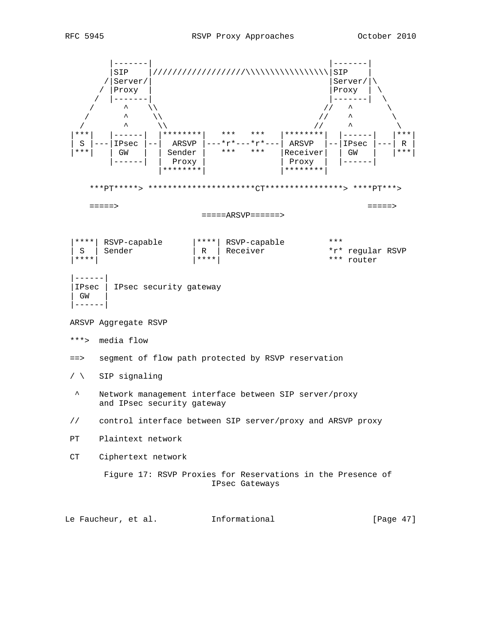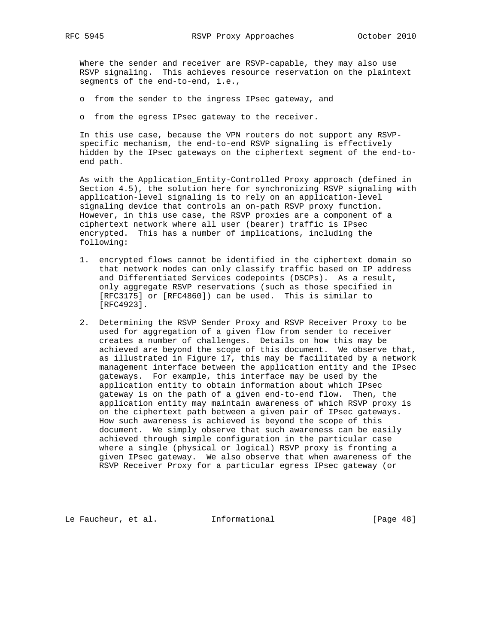Where the sender and receiver are RSVP-capable, they may also use RSVP signaling. This achieves resource reservation on the plaintext segments of the end-to-end, i.e.,

o from the sender to the ingress IPsec gateway, and

o from the egress IPsec gateway to the receiver.

 In this use case, because the VPN routers do not support any RSVP specific mechanism, the end-to-end RSVP signaling is effectively hidden by the IPsec gateways on the ciphertext segment of the end-to end path.

 As with the Application\_Entity-Controlled Proxy approach (defined in Section 4.5), the solution here for synchronizing RSVP signaling with application-level signaling is to rely on an application-level signaling device that controls an on-path RSVP proxy function. However, in this use case, the RSVP proxies are a component of a ciphertext network where all user (bearer) traffic is IPsec encrypted. This has a number of implications, including the following:

- 1. encrypted flows cannot be identified in the ciphertext domain so that network nodes can only classify traffic based on IP address and Differentiated Services codepoints (DSCPs). As a result, only aggregate RSVP reservations (such as those specified in [RFC3175] or [RFC4860]) can be used. This is similar to [RFC4923].
- 2. Determining the RSVP Sender Proxy and RSVP Receiver Proxy to be used for aggregation of a given flow from sender to receiver creates a number of challenges. Details on how this may be achieved are beyond the scope of this document. We observe that, as illustrated in Figure 17, this may be facilitated by a network management interface between the application entity and the IPsec gateways. For example, this interface may be used by the application entity to obtain information about which IPsec gateway is on the path of a given end-to-end flow. Then, the application entity may maintain awareness of which RSVP proxy is on the ciphertext path between a given pair of IPsec gateways. How such awareness is achieved is beyond the scope of this document. We simply observe that such awareness can be easily achieved through simple configuration in the particular case where a single (physical or logical) RSVP proxy is fronting a given IPsec gateway. We also observe that when awareness of the RSVP Receiver Proxy for a particular egress IPsec gateway (or

Le Faucheur, et al. 1nformational 1999 [Page 48]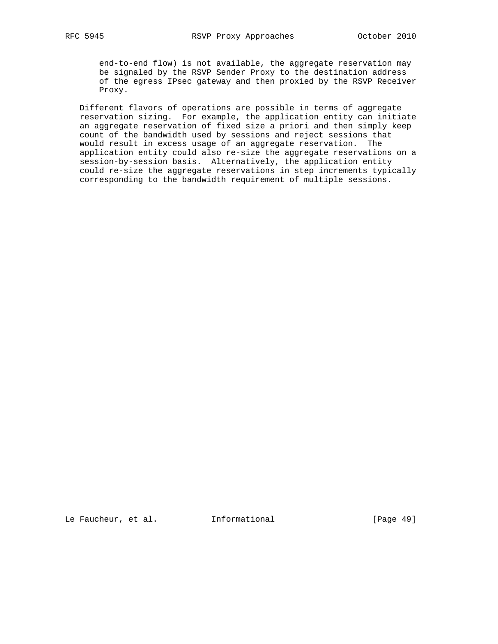end-to-end flow) is not available, the aggregate reservation may be signaled by the RSVP Sender Proxy to the destination address of the egress IPsec gateway and then proxied by the RSVP Receiver Proxy.

 Different flavors of operations are possible in terms of aggregate reservation sizing. For example, the application entity can initiate an aggregate reservation of fixed size a priori and then simply keep count of the bandwidth used by sessions and reject sessions that would result in excess usage of an aggregate reservation. The application entity could also re-size the aggregate reservations on a session-by-session basis. Alternatively, the application entity could re-size the aggregate reservations in step increments typically corresponding to the bandwidth requirement of multiple sessions.